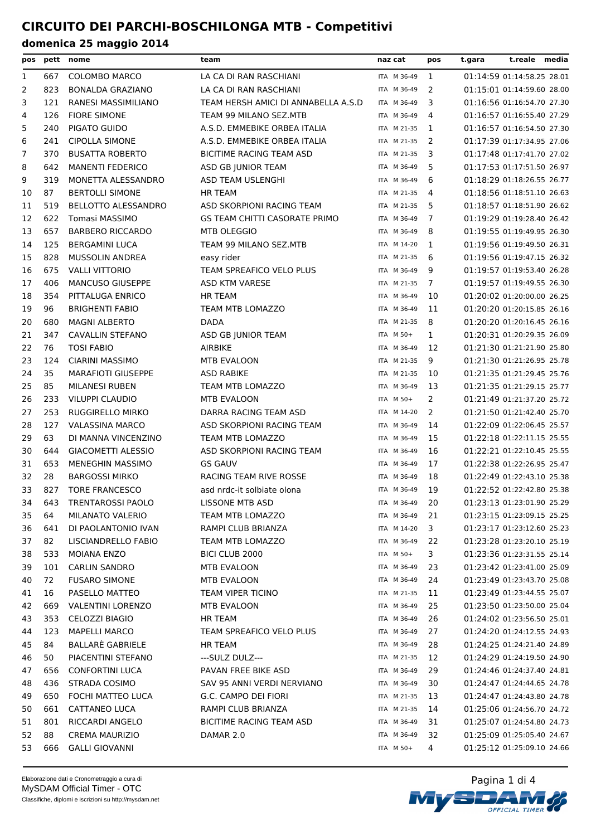| pos          |     | pett nome                  | team                                 | naz cat     | pos            | t.gara | t.reale media              |  |
|--------------|-----|----------------------------|--------------------------------------|-------------|----------------|--------|----------------------------|--|
| $\mathbf{1}$ | 667 | <b>COLOMBO MARCO</b>       | LA CA DI RAN RASCHIANI               | ITA M 36-49 | 1              |        | 01:14:59 01:14:58.25 28.01 |  |
| 2            | 823 | <b>BONALDA GRAZIANO</b>    | LA CA DI RAN RASCHIANI               | ITA M 36-49 | 2              |        | 01:15:01 01:14:59.60 28.00 |  |
| 3            | 121 | RANESI MASSIMILIANO        | TEAM HERSH AMICI DI ANNABELLA A.S.D  | ITA M 36-49 | 3              |        | 01:16:56 01:16:54.70 27.30 |  |
| 4            | 126 | <b>FIORE SIMONE</b>        | TEAM 99 MILANO SEZ.MTB               | ITA M 36-49 | 4              |        | 01:16:57 01:16:55.40 27.29 |  |
| 5            | 240 | PIGATO GUIDO               | A.S.D. EMMEBIKE ORBEA ITALIA         | ITA M 21-35 | 1              |        | 01:16:57 01:16:54.50 27.30 |  |
| 6            | 241 | <b>CIPOLLA SIMONE</b>      | A.S.D. EMMEBIKE ORBEA ITALIA         | ITA M 21-35 | 2              |        | 01:17:39 01:17:34.95 27.06 |  |
| 7            | 370 | <b>BUSATTA ROBERTO</b>     | BICITIME RACING TEAM ASD             | ITA M 21-35 | 3              |        | 01:17:48 01:17:41.70 27.02 |  |
| 8            | 642 | <b>MANENTI FEDERICO</b>    | ASD GB JUNIOR TEAM                   | ITA M 36-49 | 5              |        | 01:17:53 01:17:51.50 26.97 |  |
| 9            | 319 | MONETTA ALESSANDRO         | ASD TEAM USLENGHI                    | ITA M 36-49 | 6              |        | 01:18:29 01:18:26.55 26.77 |  |
| 10           | 87  | <b>BERTOLLI SIMONE</b>     | <b>HR TEAM</b>                       | ITA M 21-35 | 4              |        | 01:18:56 01:18:51.10 26.63 |  |
| 11           | 519 | <b>BELLOTTO ALESSANDRO</b> | ASD SKORPIONI RACING TEAM            | ITA M 21-35 | 5              |        | 01:18:57 01:18:51.90 26.62 |  |
| 12           | 622 | Tomasi MASSIMO             | <b>GS TEAM CHITTI CASORATE PRIMO</b> | ITA M 36-49 | $\overline{7}$ |        | 01:19:29 01:19:28.40 26.42 |  |
| 13           | 657 | <b>BARBERO RICCARDO</b>    | MTB OLEGGIO                          | ITA M 36-49 | 8              |        | 01:19:55 01:19:49.95 26.30 |  |
| 14           | 125 | <b>BERGAMINI LUCA</b>      | TEAM 99 MILANO SEZ.MTB               | ITA M 14-20 | 1              |        | 01:19:56 01:19:49.50 26.31 |  |
| 15           | 828 | <b>MUSSOLIN ANDREA</b>     | easy rider                           | ITA M 21-35 | 6              |        | 01:19:56 01:19:47.15 26.32 |  |
| 16           | 675 | <b>VALLI VITTORIO</b>      | TEAM SPREAFICO VELO PLUS             | ITA M 36-49 | 9              |        | 01:19:57 01:19:53.40 26.28 |  |
| 17           | 406 | <b>MANCUSO GIUSEPPE</b>    | ASD KTM VARESE                       | ITA M 21-35 | 7              |        | 01:19:57 01:19:49.55 26.30 |  |
| 18           | 354 | PITTALUGA ENRICO           | <b>HR TEAM</b>                       | ITA M 36-49 | 10             |        | 01:20:02 01:20:00.00 26.25 |  |
| 19           | 96  | <b>BRIGHENTI FABIO</b>     | TEAM MTB LOMAZZO                     | ITA M 36-49 | 11             |        | 01:20:20 01:20:15.85 26.16 |  |
| 20           | 680 | <b>MAGNI ALBERTO</b>       | <b>DADA</b>                          | ITA M 21-35 | 8              |        | 01:20:20 01:20:16.45 26.16 |  |
| 21           | 347 | <b>CAVALLIN STEFANO</b>    | ASD GB JUNIOR TEAM                   | ITA M 50+   | 1              |        | 01:20:31 01:20:29.35 26.09 |  |
| 22           | 76  | <b>TOSI FABIO</b>          | AIRBIKE                              | ITA M 36-49 | 12             |        | 01:21:30 01:21:21.90 25.80 |  |
| 23           | 124 | CIARINI MASSIMO            | MTB EVALOON                          | ITA M 21-35 | 9              |        | 01:21:30 01:21:26.95 25.78 |  |
| 24           | 35  | <b>MARAFIOTI GIUSEPPE</b>  | <b>ASD RABIKE</b>                    | ITA M 21-35 | 10             |        | 01:21:35 01:21:29.45 25.76 |  |
| 25           | 85  | <b>MILANESI RUBEN</b>      | TEAM MTB LOMAZZO                     | ITA M 36-49 | 13             |        | 01:21:35 01:21:29.15 25.77 |  |
| 26           | 233 | <b>VILUPPI CLAUDIO</b>     | MTB EVALOON                          | ITA M 50+   | 2              |        | 01:21:49 01:21:37.20 25.72 |  |
| 27           | 253 | RUGGIRELLO MIRKO           | DARRA RACING TEAM ASD                | ITA M 14-20 | 2              |        | 01:21:50 01:21:42.40 25.70 |  |
| 28           | 127 | <b>VALASSINA MARCO</b>     | ASD SKORPIONI RACING TEAM            | ITA M 36-49 | 14             |        | 01:22:09 01:22:06.45 25.57 |  |
| 29           | 63  | DI MANNA VINCENZINO        | TEAM MTB LOMAZZO                     | ITA M 36-49 | 15             |        | 01:22:18 01:22:11.15 25.55 |  |
| 30           | 644 | <b>GIACOMETTI ALESSIO</b>  | ASD SKORPIONI RACING TEAM            | ITA M 36-49 | 16             |        | 01:22:21 01:22:10.45 25.55 |  |
| 31           | 653 | <b>MENEGHIN MASSIMO</b>    | <b>GS GAUV</b>                       | ITA M 36-49 | 17             |        | 01:22:38 01:22:26.95 25.47 |  |
| 32           | 28  | <b>BARGOSSI MIRKO</b>      | RACING TEAM RIVE ROSSE               | ITA M 36-49 | 18             |        | 01:22:49 01:22:43.10 25.38 |  |
| 33           | 827 | <b>TORE FRANCESCO</b>      | asd nrdc-it solbiate olona           | ITA M 36-49 | 19             |        | 01:22:52 01:22:42.80 25.38 |  |
| 34           | 643 | TRENTAROSSI PAOLO          | LISSONE MTB ASD                      | ITA M 36-49 | 20             |        | 01:23:13 01:23:01.90 25.29 |  |
| 35           | 64  | MILANATO VALERIO           | <b>TEAM MTB LOMAZZO</b>              | ITA M 36-49 | 21             |        | 01:23:15 01:23:09.15 25.25 |  |
| 36           | 641 | DI PAOLANTONIO IVAN        | RAMPI CLUB BRIANZA                   | ITA M 14-20 | 3              |        | 01:23:17 01:23:12.60 25.23 |  |
| 37           | 82  | LISCIANDRELLO FABIO        | TEAM MTB LOMAZZO                     | ITA M 36-49 | 22             |        | 01:23:28 01:23:20.10 25.19 |  |
| 38           | 533 | MOIANA ENZO                | BICI CLUB 2000                       | ITA M 50+   | 3              |        | 01:23:36 01:23:31.55 25.14 |  |
| 39           | 101 | <b>CARLIN SANDRO</b>       | MTB EVALOON                          | ITA M 36-49 | 23             |        | 01:23:42 01:23:41.00 25.09 |  |
| 40           | 72  | <b>FUSARO SIMONE</b>       | MTB EVALOON                          | ITA M 36-49 | 24             |        | 01:23:49 01:23:43.70 25.08 |  |
| 41           | 16  | PASELLO MATTEO             | <b>TEAM VIPER TICINO</b>             | ITA M 21-35 | 11             |        | 01:23:49 01:23:44.55 25.07 |  |
| 42           | 669 | <b>VALENTINI LORENZO</b>   | MTB EVALOON                          | ITA M 36-49 | 25             |        | 01:23:50 01:23:50.00 25.04 |  |
| 43           | 353 | <b>CELOZZI BIAGIO</b>      | HR TEAM                              | ITA M 36-49 | 26             |        | 01:24:02 01:23:56.50 25.01 |  |
| 44           | 123 | <b>MAPELLI MARCO</b>       | TEAM SPREAFICO VELO PLUS             | ITA M 36-49 | 27             |        | 01:24:20 01:24:12.55 24.93 |  |
| 45           | 84  | <b>BALLARE GABRIELE</b>    | HR TEAM                              | ITA M 36-49 | 28             |        | 01:24:25 01:24:21.40 24.89 |  |
| 46           | 50  | PIACENTINI STEFANO         | ---SULZ DULZ---                      | ITA M 21-35 | 12             |        | 01:24:29 01:24:19.50 24.90 |  |
| 47           | 656 | <b>CONFORTINI LUCA</b>     | PAVAN FREE BIKE ASD                  | ITA M 36-49 | 29             |        | 01:24:46 01:24:37.40 24.81 |  |
| 48           | 436 | STRADA COSIMO              | SAV 95 ANNI VERDI NERVIANO           | ITA M 36-49 | 30             |        | 01:24:47 01:24:44.65 24.78 |  |
| 49           | 650 | FOCHI MATTEO LUCA          | G.C. CAMPO DEI FIORI                 | ITA M 21-35 | 13             |        | 01:24:47 01:24:43.80 24.78 |  |
| 50           | 661 | CATTANEO LUCA              | RAMPI CLUB BRIANZA                   | ITA M 21-35 | 14             |        | 01:25:06 01:24:56.70 24.72 |  |
| 51           | 801 | RICCARDI ANGELO            | BICITIME RACING TEAM ASD             | ITA M 36-49 | 31             |        | 01:25:07 01:24:54.80 24.73 |  |
| 52           | 88  | <b>CREMA MAURIZIO</b>      | DAMAR 2.0                            | ITA M 36-49 | 32             |        | 01:25:09 01:25:05.40 24.67 |  |
| 53           | 666 | <b>GALLI GIOVANNI</b>      |                                      | ITA M 50+   | 4              |        | 01:25:12 01:25:09.10 24.66 |  |



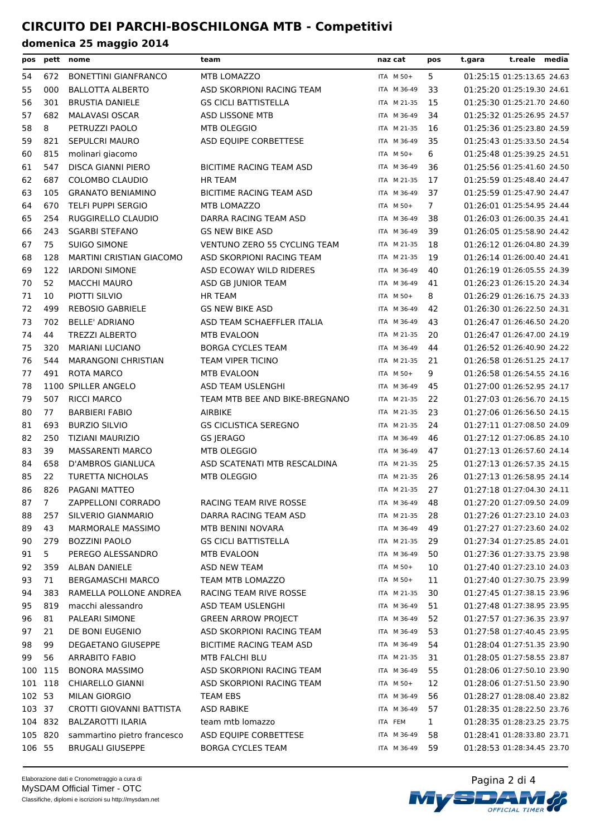| pos     |     | pett nome                       | team                                | naz cat     | pos           | t.gara                     | t.reale media |  |
|---------|-----|---------------------------------|-------------------------------------|-------------|---------------|----------------------------|---------------|--|
| 54      | 672 | <b>BONETTINI GIANFRANCO</b>     | MTB LOMAZZO                         | ITA M 50+   | 5             | 01:25:15 01:25:13.65 24.63 |               |  |
| 55      | 000 | <b>BALLOTTA ALBERTO</b>         | ASD SKORPIONI RACING TEAM           | ITA M 36-49 | 33            | 01:25:20 01:25:19.30 24.61 |               |  |
| 56      | 301 | <b>BRUSTIA DANIELE</b>          | <b>GS CICLI BATTISTELLA</b>         | ITA M 21-35 | 15            | 01:25:30 01:25:21.70 24.60 |               |  |
| 57      | 682 | <b>MALAVASI OSCAR</b>           | ASD LISSONE MTB                     | ITA M 36-49 | 34            | 01:25:32 01:25:26.95 24.57 |               |  |
| 58      | 8   | PETRUZZI PAOLO                  | MTB OLEGGIO                         | ITA M 21-35 | 16            | 01:25:36 01:25:23.80 24.59 |               |  |
| 59      | 821 | SEPULCRI MAURO                  | ASD EQUIPE CORBETTESE               | ITA M 36-49 | 35            | 01:25:43 01:25:33.50 24.54 |               |  |
| 60      | 815 | molinari giacomo                |                                     | ITA M 50+   | 6             | 01:25:48 01:25:39.25 24.51 |               |  |
| 61      | 547 | DISCA GIANNI PIERO              | BICITIME RACING TEAM ASD            | ITA M 36-49 | 36            | 01:25:56 01:25:41.60 24.50 |               |  |
| 62      | 687 | COLOMBO CLAUDIO                 | <b>HR TEAM</b>                      | ITA M 21-35 | 17            | 01:25:59 01:25:48.40 24.47 |               |  |
| 63      | 105 | <b>GRANATO BENIAMINO</b>        | BICITIME RACING TEAM ASD            | ITA M 36-49 | 37            | 01:25:59 01:25:47.90 24.47 |               |  |
| 64      | 670 | <b>TELFI PUPPI SERGIO</b>       | <b>MTB LOMAZZO</b>                  | ITA M 50+   | $\mathcal{I}$ | 01:26:01 01:25:54.95 24.44 |               |  |
| 65      | 254 | RUGGIRELLO CLAUDIO              | DARRA RACING TEAM ASD               | ITA M 36-49 | 38            | 01:26:03 01:26:00.35 24.41 |               |  |
| 66      | 243 | <b>SGARBI STEFANO</b>           | <b>GS NEW BIKE ASD</b>              | ITA M 36-49 | 39            | 01:26:05 01:25:58.90 24.42 |               |  |
| 67      | 75  | <b>SUIGO SIMONE</b>             | <b>VENTUNO ZERO 55 CYCLING TEAM</b> | ITA M 21-35 | 18            | 01:26:12 01:26:04.80 24.39 |               |  |
| 68      | 128 | <b>MARTINI CRISTIAN GIACOMO</b> | ASD SKORPIONI RACING TEAM           | ITA M 21-35 | 19            | 01:26:14 01:26:00.40 24.41 |               |  |
| 69      | 122 | <b>IARDONI SIMONE</b>           | ASD ECOWAY WILD RIDERES             | ITA M 36-49 | 40            | 01:26:19 01:26:05.55 24.39 |               |  |
| 70      | 52  | <b>MACCHI MAURO</b>             | ASD GB JUNIOR TEAM                  | ITA M 36-49 | 41            | 01:26:23 01:26:15.20 24.34 |               |  |
| 71      | 10  | PIOTTI SILVIO                   | <b>HR TEAM</b>                      | ITA M 50+   | 8             | 01:26:29 01:26:16.75 24.33 |               |  |
| 72      | 499 | <b>REBOSIO GABRIELE</b>         | <b>GS NEW BIKE ASD</b>              | ITA M 36-49 | 42            | 01:26:30 01:26:22.50 24.31 |               |  |
| 73      | 702 | <b>BELLE' ADRIANO</b>           | ASD TEAM SCHAEFFLER ITALIA          | ITA M 36-49 | 43            | 01:26:47 01:26:46.50 24.20 |               |  |
| 74      | 44  | <b>TREZZI ALBERTO</b>           | <b>MTB EVALOON</b>                  | ITA M 21-35 | 20            | 01:26:47 01:26:47.00 24.19 |               |  |
| 75      | 320 | <b>MARIANI LUCIANO</b>          | <b>BORGA CYCLES TEAM</b>            | ITA M 36-49 | 44            | 01:26:52 01:26:40.90 24.22 |               |  |
| 76      | 544 | <b>MARANGONI CHRISTIAN</b>      | <b>TEAM VIPER TICINO</b>            | ITA M 21-35 | 21            | 01:26:58 01:26:51.25 24.17 |               |  |
| 77      | 491 | ROTA MARCO                      | <b>MTB EVALOON</b>                  | ITA M 50+   | 9             | 01:26:58 01:26:54.55 24.16 |               |  |
| 78      |     | 1100 SPILLER ANGELO             | ASD TEAM USLENGHI                   | ITA M 36-49 | 45            | 01:27:00 01:26:52.95 24.17 |               |  |
| 79      | 507 | <b>RICCI MARCO</b>              | TEAM MTB BEE AND BIKE-BREGNANO      | ITA M 21-35 | 22            | 01:27:03 01:26:56.70 24.15 |               |  |
| 80      | 77  | <b>BARBIERI FABIO</b>           | <b>AIRBIKE</b>                      | ITA M 21-35 | 23            | 01:27:06 01:26:56.50 24.15 |               |  |
| 81      | 693 | <b>BURZIO SILVIO</b>            | <b>GS CICLISTICA SEREGNO</b>        | ITA M 21-35 | 24            | 01:27:11 01:27:08.50 24.09 |               |  |
| 82      | 250 | TIZIANI MAURIZIO                | <b>GS JERAGO</b>                    | ITA M 36-49 | 46            | 01:27:12 01:27:06.85 24.10 |               |  |
| 83      | 39  | <b>MASSARENTI MARCO</b>         | MTB OLEGGIO                         | ITA M 36-49 | 47            | 01:27:13 01:26:57.60 24.14 |               |  |
| 84      | 658 | D'AMBROS GIANLUCA               | ASD SCATENATI MTB RESCALDINA        | ITA M 21-35 | 25            | 01:27:13 01:26:57.35 24.15 |               |  |
| 85      | 22  | <b>TURETTA NICHOLAS</b>         | MTB OLEGGIO                         | ITA M 21-35 | 26            | 01:27:13 01:26:58.95 24.14 |               |  |
| 86      | 826 | <b>PAGANI MATTEO</b>            |                                     | ITA M 21-35 | 27            | 01:27:18 01:27:04.30 24.11 |               |  |
| 87      | 7   | ZAPPELLONI CORRADO              | RACING TEAM RIVE ROSSE              | ITA M 36-49 | 48            | 01:27:20 01:27:09.50 24.09 |               |  |
| 88      | 257 | SILVERIO GIANMARIO              | DARRA RACING TEAM ASD               | ITA M 21-35 | 28            | 01:27:26 01:27:23.10 24.03 |               |  |
| 89      | 43  | MARMORALE MASSIMO               | MTB BENINI NOVARA                   | ITA M 36-49 | 49            | 01:27:27 01:27:23.60 24.02 |               |  |
| 90      | 279 | <b>BOZZINI PAOLO</b>            | <b>GS CICLI BATTISTELLA</b>         | ITA M 21-35 | 29            | 01:27:34 01:27:25.85 24.01 |               |  |
| 91      | 5   | PEREGO ALESSANDRO               | MTB EVALOON                         | ITA M 36-49 | 50            | 01:27:36 01:27:33.75 23.98 |               |  |
| 92      | 359 | ALBAN DANIELE                   | <b>ASD NEW TEAM</b>                 | ITA M 50+   | 10            | 01:27:40 01:27:23.10 24.03 |               |  |
| 93      | 71  | <b>BERGAMASCHI MARCO</b>        | <b>TEAM MTB LOMAZZO</b>             | ITA M 50+   | 11            | 01:27:40 01:27:30.75 23.99 |               |  |
| 94      | 383 | RAMELLA POLLONE ANDREA          | RACING TEAM RIVE ROSSE              | ITA M 21-35 | 30            | 01:27:45 01:27:38.15 23.96 |               |  |
| 95      | 819 | macchi alessandro               | ASD TEAM USLENGHI                   | ITA M 36-49 | 51            | 01:27:48 01:27:38.95 23.95 |               |  |
| 96      | 81  | PALEARI SIMONE                  | <b>GREEN ARROW PROJECT</b>          | ITA M 36-49 | 52            | 01:27:57 01:27:36.35 23.97 |               |  |
| 97      | 21  | DE BONI EUGENIO                 | ASD SKORPIONI RACING TEAM           | ITA M 36-49 | 53            | 01:27:58 01:27:40.45 23.95 |               |  |
| 98      | 99  | DEGAETANO GIUSEPPE              | BICITIME RACING TEAM ASD            | ITA M 36-49 | 54            | 01:28:04 01:27:51.35 23.90 |               |  |
| 99      | 56  | <b>ARRABITO FABIO</b>           | MTB FALCHI BLU                      | ITA M 21-35 | 31            | 01:28:05 01:27:58.55 23.87 |               |  |
| 100     | 115 | <b>BONORA MASSIMO</b>           | ASD SKORPIONI RACING TEAM           | ITA M 36-49 | 55            | 01:28:06 01:27:50.10 23.90 |               |  |
| 101     | 118 | <b>CHIARELLO GIANNI</b>         | ASD SKORPIONI RACING TEAM           | ITA M 50+   | 12            | 01:28:06 01:27:51.50 23.90 |               |  |
| 102 53  |     | <b>MILAN GIORGIO</b>            | <b>TEAM EBS</b>                     | ITA M 36-49 | 56            | 01:28:27 01:28:08.40 23.82 |               |  |
| 103 37  |     | CROTTI GIOVANNI BATTISTA        | <b>ASD RABIKE</b>                   | ITA M 36-49 | 57            | 01:28:35 01:28:22.50 23.76 |               |  |
| 104 832 |     | <b>BALZAROTTI ILARIA</b>        | team mtb lomazzo                    | ITA FEM     | $\mathbf{1}$  | 01:28:35 01:28:23.25 23.75 |               |  |
| 105 820 |     | sammartino pietro francesco     | ASD EQUIPE CORBETTESE               | ITA M 36-49 | 58            | 01:28:41 01:28:33.80 23.71 |               |  |
| 106 55  |     | <b>BRUGALI GIUSEPPE</b>         | <b>BORGA CYCLES TEAM</b>            | ITA M 36-49 | 59            | 01:28:53 01:28:34.45 23.70 |               |  |

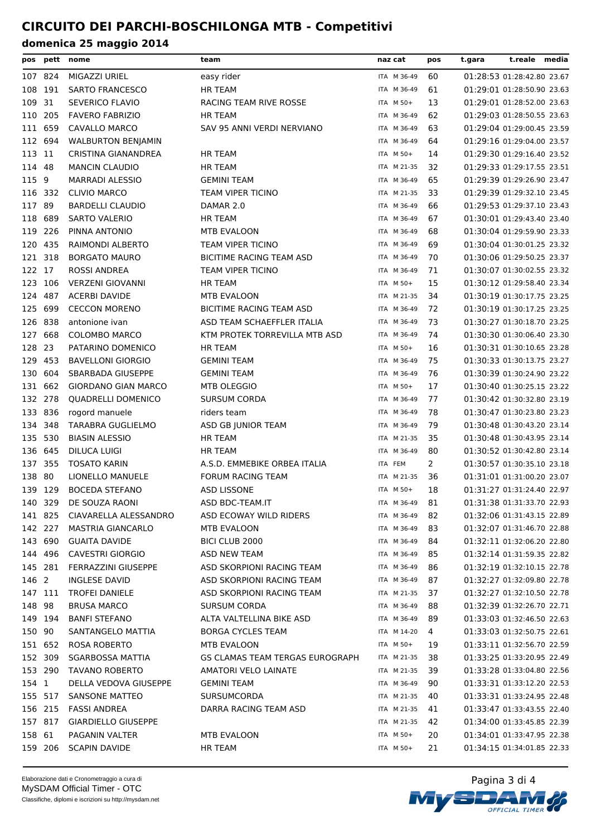| pos     | pett               | nome                                  | team                                        | naz cat                    | pos            | t.gara                     | t.reale media                                            |  |
|---------|--------------------|---------------------------------------|---------------------------------------------|----------------------------|----------------|----------------------------|----------------------------------------------------------|--|
|         | 107 824            | MIGAZZI URIEL                         | easy rider                                  | ITA M 36-49                | 60             |                            | 01:28:53 01:28:42.80 23.67                               |  |
|         | 108 191            | <b>SARTO FRANCESCO</b>                | <b>HR TEAM</b>                              | ITA M 36-49                | 61             |                            | 01:29:01 01:28:50.90 23.63                               |  |
| 109     | 31                 | SEVERICO FLAVIO                       | RACING TEAM RIVE ROSSE                      | ITA M 50+                  | 13             |                            | 01:29:01 01:28:52.00 23.63                               |  |
| 110     | 205                | <b>FAVERO FABRIZIO</b>                | <b>HR TEAM</b>                              | ITA M 36-49                | 62             |                            | 01:29:03 01:28:50.55 23.63                               |  |
| 111     | 659                | CAVALLO MARCO                         | SAV 95 ANNI VERDI NERVIANO                  | ITA M 36-49                | 63             |                            | 01:29:04 01:29:00.45 23.59                               |  |
|         | 112 694            | <b>WALBURTON BENJAMIN</b>             |                                             | ITA M 36-49                | 64             |                            | 01:29:16 01:29:04.00 23.57                               |  |
| 113 11  |                    | CRISTINA GIANANDREA                   | HR TEAM                                     | ITA M 50+                  | 14             |                            | 01:29:30 01:29:16.40 23.52                               |  |
| 114 48  |                    | MANCIN CLAUDIO                        | <b>HR TEAM</b>                              | ITA M 21-35                | 32             |                            | 01:29:33 01:29:17.55 23.51                               |  |
| 115 9   |                    | <b>MARRADI ALESSIO</b>                | <b>GEMINI TEAM</b>                          | ITA M 36-49                | 65             |                            | 01:29:39 01:29:26.90 23.47                               |  |
|         | 116 332            | <b>CLIVIO MARCO</b>                   | TEAM VIPER TICINO                           | ITA M 21-35                | 33             |                            | 01:29:39 01:29:32.10 23.45                               |  |
| 117 89  |                    | <b>BARDELLI CLAUDIO</b>               | DAMAR 2.0                                   | ITA M 36-49                | 66             |                            | 01:29:53 01:29:37.10 23.43                               |  |
|         | 118 689            | <b>SARTO VALERIO</b>                  | <b>HR TEAM</b>                              | ITA M 36-49                | 67             |                            | 01:30:01 01:29:43.40 23.40                               |  |
|         | 119 226            | PINNA ANTONIO                         | MTB EVALOON                                 | ITA M 36-49                | 68             |                            | 01:30:04 01:29:59.90 23.33                               |  |
|         | 120 435            | RAIMONDI ALBERTO                      | <b>TEAM VIPER TICINO</b>                    | ITA M 36-49                | 69             |                            | 01:30:04 01:30:01.25 23.32                               |  |
|         | 121 318            | <b>BORGATO MAURO</b>                  | BICITIME RACING TEAM ASD                    | ITA M 36-49                | 70             |                            | 01:30:06 01:29:50.25 23.37                               |  |
| 122 17  |                    | <b>ROSSI ANDREA</b>                   | TEAM VIPER TICINO                           | ITA M 36-49                | 71             |                            | 01:30:07 01:30:02.55 23.32                               |  |
|         | 123 106            | <b>VERZENI GIOVANNI</b>               | <b>HR TEAM</b>                              | ITA M 50+                  | 15             |                            | 01:30:12 01:29:58.40 23.34                               |  |
|         | 124 487            | <b>ACERBI DAVIDE</b>                  | MTB EVALOON                                 | ITA M 21-35                | 34             |                            | 01:30:19 01:30:17.75 23.25                               |  |
|         | 125 699            | <b>CECCON MORENO</b>                  | <b>BICITIME RACING TEAM ASD</b>             | ITA M 36-49                | 72             |                            | 01:30:19 01:30:17.25 23.25                               |  |
|         | 126 838            | antonione ivan                        | ASD TEAM SCHAEFFLER ITALIA                  | ITA M 36-49                | 73             |                            | 01:30:27 01:30:18.70 23.25                               |  |
| 127     | 668                | <b>COLOMBO MARCO</b>                  | KTM PROTEK TORREVILLA MTB ASD               | ITA M 36-49                | 74             |                            | 01:30:30 01:30:06.40 23.30                               |  |
| 128 23  |                    | PATARINO DOMENICO                     | <b>HR TEAM</b>                              | ITA M 50+                  | 16             |                            | 01:30:31 01:30:10.65 23.28                               |  |
|         | 129 453            | <b>BAVELLONI GIORGIO</b>              | <b>GEMINI TEAM</b>                          | ITA M 36-49                | 75             |                            | 01:30:33 01:30:13.75 23.27                               |  |
|         | 130 604            | SBARBADA GIUSEPPE                     | <b>GEMINI TEAM</b>                          | ITA M 36-49                | 76             |                            | 01:30:39 01:30:24.90 23.22                               |  |
|         | 131 662            | <b>GIORDANO GIAN MARCO</b>            | MTB OLEGGIO                                 | ITA M 50+                  | 17             |                            | 01:30:40 01:30:25.15 23.22                               |  |
|         | 132 278            | QUADRELLI DOMENICO                    | <b>SURSUM CORDA</b>                         | ITA M 36-49                | 77             |                            | 01:30:42 01:30:32.80 23.19                               |  |
|         | 133 836            | rogord manuele                        | riders team                                 | ITA M 36-49                | 78             |                            | 01:30:47 01:30:23.80 23.23                               |  |
| 134 348 |                    | TARABRA GUGLIELMO                     | ASD GB JUNIOR TEAM                          | ITA M 36-49                | 79             |                            | 01:30:48 01:30:43.20 23.14                               |  |
|         | 135 530            | <b>BIASIN ALESSIO</b>                 | HR TEAM                                     | ITA M 21-35                | 35             |                            | 01:30:48 01:30:43.95 23.14                               |  |
| 136 645 |                    | DILUCA LUIGI                          | <b>HR TEAM</b>                              | ITA M 36-49                | 80             |                            | 01:30:52 01:30:42.80 23.14                               |  |
|         | 137 355            | <b>TOSATO KARIN</b>                   | A.S.D. EMMEBIKE ORBEA ITALIA                | ITA FEM                    | $\overline{2}$ |                            | 01:30:57 01:30:35.10 23.18                               |  |
| 138 80  |                    | LIONELLO MANUELE                      | <b>FORUM RACING TEAM</b>                    | ITA M 21-35                | 36             |                            | 01:31:01 01:31:00.20 23.07                               |  |
|         | 139 129            | <b>BOCEDA STEFANO</b>                 | <b>ASD LISSONE</b>                          | ITA M 50+                  | 18             |                            | 01:31:27 01:31:24.40 22.97                               |  |
|         | 140 329            | DE SOUZA RAONI                        | ASD BDC-TEAM.IT                             | ITA M 36-49                | 81             | 01:31:38 01:31:33.70 22.93 |                                                          |  |
|         | 141 825            | CIAVARELLA ALESSANDRO                 | ASD ECOWAY WILD RIDERS                      | ITA M 36-49                | 82             |                            | 01:32:06 01:31:43.15 22.89                               |  |
|         | 142 227            | <b>MASTRIA GIANCARLO</b>              | MTB EVALOON                                 | ITA M 36-49                | 83             |                            | 01:32:07 01:31:46.70 22.88                               |  |
|         | 143 690            | <b>GUAITA DAVIDE</b>                  | BICI CLUB 2000                              | ITA M 36-49                | 84             |                            | 01:32:11 01:32:06.20 22.80                               |  |
|         | 144 496            | <b>CAVESTRI GIORGIO</b>               | ASD NEW TEAM                                | ITA M 36-49                | 85             |                            | 01:32:14 01:31:59.35 22.82                               |  |
|         | 145 281            | FERRAZZINI GIUSEPPE                   | ASD SKORPIONI RACING TEAM                   | ITA M 36-49                | 86             |                            | 01:32:19 01:32:10.15 22.78                               |  |
| 146 2   |                    | INGLESE DAVID                         | ASD SKORPIONI RACING TEAM                   | ITA M 36-49                | 87             |                            | 01:32:27 01:32:09.80 22.78                               |  |
|         | 147 111            | <b>TROFEI DANIELE</b>                 | ASD SKORPIONI RACING TEAM                   | ITA M 21-35                | 37             |                            | 01:32:27 01:32:10.50 22.78                               |  |
| 148 98  |                    | <b>BRUSA MARCO</b>                    | <b>SURSUM CORDA</b>                         | ITA M 36-49                | 88             |                            | 01:32:39 01:32:26.70 22.71                               |  |
|         | 149 194            | <b>BANFI STEFANO</b>                  | ALTA VALTELLINA BIKE ASD                    | ITA M 36-49                | 89             |                            | 01:33:03 01:32:46.50 22.63                               |  |
| 150 90  |                    | SANTANGELO MATTIA                     | <b>BORGA CYCLES TEAM</b>                    | ITA M 14-20                | 4              |                            | 01:33:03 01:32:50.75 22.61                               |  |
|         | 151 652            | <b>ROSA ROBERTO</b>                   | MTB EVALOON                                 | ITA M 50+                  | 19             |                            | 01:33:11 01:32:56.70 22.59                               |  |
|         | 152 309            | <b>SGARBOSSA MATTIA</b>               | GS CLAMAS TEAM TERGAS EUROGRAPH             | ITA M 21-35                | 38             |                            | 01:33:25 01:33:20.95 22.49                               |  |
|         | 153 290            | <b>TAVANO ROBERTO</b>                 | AMATORI VELO LAINATE                        | ITA M 21-35                | 39             |                            | 01:33:28 01:33:04.80 22.56                               |  |
| 154 1   |                    | DELLA VEDOVA GIUSEPPE                 | <b>GEMINI TEAM</b>                          | ITA M 36-49                | 90             |                            | 01:33:31 01:33:12.20 22.53                               |  |
|         |                    |                                       |                                             |                            |                |                            |                                                          |  |
|         | 155 517<br>156 215 | SANSONE MATTEO<br><b>FASSI ANDREA</b> | <b>SURSUMCORDA</b><br>DARRA RACING TEAM ASD | ITA M 21-35<br>ITA M 21-35 | 40<br>41       |                            | 01:33:31 01:33:24.95 22.48<br>01:33:47 01:33:43.55 22.40 |  |
|         |                    |                                       |                                             |                            |                |                            |                                                          |  |
|         | 157 817            | <b>GIARDIELLO GIUSEPPE</b>            |                                             | ITA M 21-35                | 42             |                            | 01:34:00 01:33:45.85 22.39                               |  |
| 158 61  |                    | PAGANIN VALTER                        | MTB EVALOON                                 | ITA M 50+                  | 20             |                            | 01:34:01 01:33:47.95 22.38                               |  |
|         | 159 206            | <b>SCAPIN DAVIDE</b>                  | HR TEAM                                     | ITA M 50+                  | 21             |                            | 01:34:15 01:34:01.85 22.33                               |  |

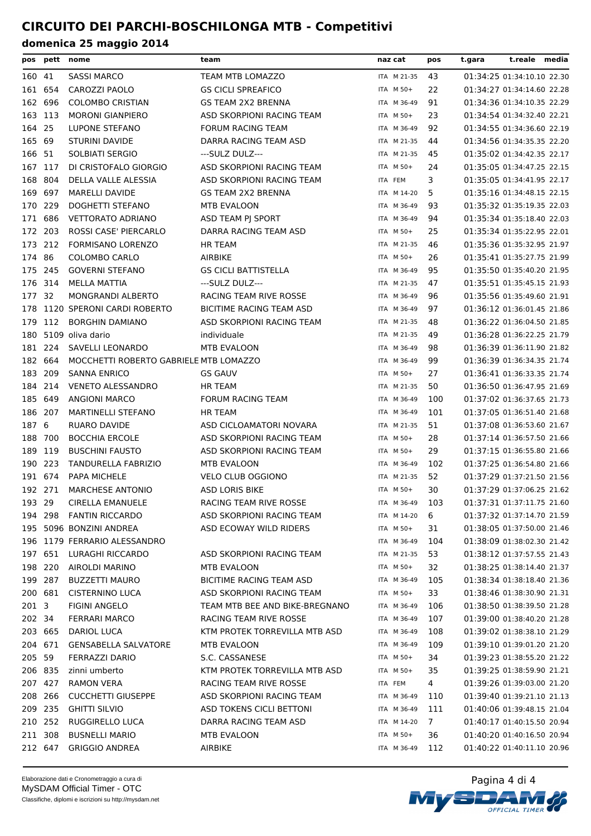| pos     |         | pett nome                              | team                           | naz cat     | pos | t.gara | t.reale media              |  |
|---------|---------|----------------------------------------|--------------------------------|-------------|-----|--------|----------------------------|--|
| 160 41  |         | SASSI MARCO                            | TEAM MTB LOMAZZO               | ITA M 21-35 | 43  |        | 01:34:25 01:34:10.10 22.30 |  |
| 161 654 |         | CAROZZI PAOLO                          | <b>GS CICLI SPREAFICO</b>      | ITA M 50+   | 22  |        | 01:34:27 01:34:14.60 22.28 |  |
| 162 696 |         | <b>COLOMBO CRISTIAN</b>                | <b>GS TEAM 2X2 BRENNA</b>      | ITA M 36-49 | 91  |        | 01:34:36 01:34:10.35 22.29 |  |
| 163 113 |         | <b>MORONI GIANPIERO</b>                | ASD SKORPIONI RACING TEAM      | ITA M 50+   | 23  |        | 01:34:54 01:34:32.40 22.21 |  |
| 164 25  |         | <b>LUPONE STEFANO</b>                  | <b>FORUM RACING TEAM</b>       | ITA M 36-49 | 92  |        | 01:34:55 01:34:36.60 22.19 |  |
| 165 69  |         | <b>STURINI DAVIDE</b>                  | DARRA RACING TEAM ASD          | ITA M 21-35 | 44  |        | 01:34:56 01:34:35.35 22.20 |  |
| 166 51  |         | SOLBIATI SERGIO                        | ---SULZ DULZ---                | ITA M 21-35 | 45  |        | 01:35:02 01:34:42.35 22.17 |  |
| 167 117 |         | DI CRISTOFALO GIORGIO                  | ASD SKORPIONI RACING TEAM      | ITA M 50+   | 24  |        | 01:35:05 01:34:47.25 22.15 |  |
| 168 804 |         | DELLA VALLE ALESSIA                    | ASD SKORPIONI RACING TEAM      | ITA FEM     | 3   |        | 01:35:05 01:34:41.95 22.17 |  |
| 169 697 |         | <b>MARELLI DAVIDE</b>                  | <b>GS TEAM 2X2 BRENNA</b>      | ITA M 14-20 | 5   |        | 01:35:16 01:34:48.15 22.15 |  |
| 170 229 |         | DOGHETTI STEFANO                       | MTB EVALOON                    | ITA M 36-49 | 93  |        | 01:35:32 01:35:19.35 22.03 |  |
| 171 686 |         | <b>VETTORATO ADRIANO</b>               | ASD TEAM PJ SPORT              | ITA M 36-49 | 94  |        | 01:35:34 01:35:18.40 22.03 |  |
| 172 203 |         | ROSSI CASE' PIERCARLO                  | DARRA RACING TEAM ASD          | ITA M 50+   | 25  |        | 01:35:34 01:35:22.95 22.01 |  |
| 173     | 212     | <b>FORMISANO LORENZO</b>               | <b>HR TEAM</b>                 | ITA M 21-35 | 46  |        | 01:35:36 01:35:32.95 21.97 |  |
| 174 86  |         | <b>COLOMBO CARLO</b>                   | AIRBIKE                        | ITA M 50+   | 26  |        | 01:35:41 01:35:27.75 21.99 |  |
| 175 245 |         | <b>GOVERNI STEFANO</b>                 | <b>GS CICLI BATTISTELLA</b>    | ITA M 36-49 | 95  |        | 01:35:50 01:35:40.20 21.95 |  |
| 176 314 |         | MELLA MATTIA                           | ---SULZ DULZ---                | ITA M 21-35 | 47  |        | 01:35:51 01:35:45.15 21.93 |  |
| 177 32  |         | MONGRANDI ALBERTO                      | RACING TEAM RIVE ROSSE         | ITA M 36-49 | 96  |        | 01:35:56 01:35:49.60 21.91 |  |
|         |         | 178 1120 SPERONI CARDI ROBERTO         | BICITIME RACING TEAM ASD       | ITA M 36-49 | 97  |        | 01:36:12 01:36:01.45 21.86 |  |
| 179     | 112     | <b>BORGHIN DAMIANO</b>                 | ASD SKORPIONI RACING TEAM      | ITA M 21-35 | 48  |        | 01:36:22 01:36:04.50 21.85 |  |
|         |         | 180 5109 oliva dario                   | individuale                    | ITA M 21-35 | 49  |        | 01:36:28 01:36:22.25 21.79 |  |
| 181 224 |         | SAVELLI LEONARDO                       | MTB EVALOON                    | ITA M 36-49 | 98  |        | 01:36:39 01:36:11.90 21.82 |  |
| 182 664 |         | MOCCHETTI ROBERTO GABRIELE MTB LOMAZZO |                                | ITA M 36-49 | 99  |        | 01:36:39 01:36:34.35 21.74 |  |
| 183 209 |         | <b>SANNA ENRICO</b>                    | <b>GS GAUV</b>                 | ITA M 50+   | 27  |        | 01:36:41 01:36:33.35 21.74 |  |
| 184 214 |         | <b>VENETO ALESSANDRO</b>               | <b>HR TEAM</b>                 | ITA M 21-35 | 50  |        | 01:36:50 01:36:47.95 21.69 |  |
| 185 649 |         | <b>ANGIONI MARCO</b>                   | FORUM RACING TEAM              | ITA M 36-49 | 100 |        | 01:37:02 01:36:37.65 21.73 |  |
| 186 207 |         | MARTINELLI STEFANO                     | <b>HR TEAM</b>                 | ITA M 36-49 | 101 |        | 01:37:05 01:36:51.40 21.68 |  |
| 187 6   |         | RUARO DAVIDE                           | ASD CICLOAMATORI NOVARA        | ITA M 21-35 | 51  |        | 01:37:08 01:36:53.60 21.67 |  |
| 188 700 |         | <b>BOCCHIA ERCOLE</b>                  | ASD SKORPIONI RACING TEAM      | ITA M 50+   | 28  |        | 01:37:14 01:36:57.50 21.66 |  |
| 189 119 |         | <b>BUSCHINI FAUSTO</b>                 | ASD SKORPIONI RACING TEAM      | ITA M 50+   | 29  |        | 01:37:15 01:36:55.80 21.66 |  |
| 190 223 |         | TANDURELLA FABRIZIO                    | MTB EVALOON                    | ITA M 36-49 | 102 |        | 01:37:25 01:36:54.80 21.66 |  |
| 191 674 |         | PAPA MICHELE                           | <b>VELO CLUB OGGIONO</b>       | ITA M 21-35 | 52  |        | 01:37:29 01:37:21.50 21.56 |  |
| 192 271 |         | <b>MARCHESE ANTONIO</b>                | <b>ASD LORIS BIKE</b>          | ITA M 50+   | 30  |        | 01:37:29 01:37:06.25 21.62 |  |
| 193 29  |         | CIRELLA EMANUELE                       | RACING TEAM RIVE ROSSE         | ITA M 36-49 | 103 |        | 01:37:31 01:37:11.75 21.60 |  |
|         | 194 298 | <b>FANTIN RICCARDO</b>                 | ASD SKORPIONI RACING TEAM      | ITA M 14-20 | 6   |        | 01:37:32 01:37:14.70 21.59 |  |
|         |         | 195 5096 BONZINI ANDREA                | ASD ECOWAY WILD RIDERS         | ITA M 50+   | 31  |        | 01:38:05 01:37:50.00 21.46 |  |
|         |         | 196 1179 FERRARIO ALESSANDRO           |                                | ITA M 36-49 | 104 |        | 01:38:09 01:38:02.30 21.42 |  |
|         | 197 651 | LURAGHI RICCARDO                       | ASD SKORPIONI RACING TEAM      | ITA M 21-35 | 53  |        | 01:38:12 01:37:57.55 21.43 |  |
|         | 198 220 | AIROLDI MARINO                         | MTB EVALOON                    | ITA M 50+   | 32  |        | 01:38:25 01:38:14.40 21.37 |  |
| 199 287 |         | <b>BUZZETTI MAURO</b>                  | BICITIME RACING TEAM ASD       | ITA M 36-49 | 105 |        | 01:38:34 01:38:18.40 21.36 |  |
|         | 200 681 | <b>CISTERNINO LUCA</b>                 | ASD SKORPIONI RACING TEAM      | ITA M 50+   | 33  |        | 01:38:46 01:38:30.90 21.31 |  |
| 201 3   |         | <b>FIGINI ANGELO</b>                   | TEAM MTB BEE AND BIKE-BREGNANO | ITA M 36-49 | 106 |        | 01:38:50 01:38:39.50 21.28 |  |
| 202 34  |         | <b>FERRARI MARCO</b>                   | RACING TEAM RIVE ROSSE         | ITA M 36-49 | 107 |        | 01:39:00 01:38:40.20 21.28 |  |
| 203 665 |         | DARIOL LUCA                            | KTM PROTEK TORREVILLA MTB ASD  | ITA M 36-49 | 108 |        | 01:39:02 01:38:38.10 21.29 |  |
|         | 204 671 | <b>GENSABELLA SALVATORE</b>            | MTB EVALOON                    | ITA M 36-49 | 109 |        | 01:39:10 01:39:01.20 21.20 |  |
| 205 59  |         | FERRAZZI DARIO                         | S.C. CASSANESE                 | ITA M 50+   | 34  |        | 01:39:23 01:38:55.20 21.22 |  |
| 206 835 |         | zinni umberto                          | KTM PROTEK TORREVILLA MTB ASD  | ITA M 50+   | 35  |        | 01:39:25 01:38:59.90 21.21 |  |
| 207 427 |         | <b>RAMON VERA</b>                      | RACING TEAM RIVE ROSSE         | ITA FEM     | 4   |        | 01:39:26 01:39:03.00 21.20 |  |
| 208 266 |         | <b>CUCCHETTI GIUSEPPE</b>              | ASD SKORPIONI RACING TEAM      | ITA M 36-49 | 110 |        | 01:39:40 01:39:21.10 21.13 |  |
|         | 209 235 | <b>GHITTI SILVIO</b>                   | ASD TOKENS CICLI BETTONI       | ITA M 36-49 | 111 |        | 01:40:06 01:39:48.15 21.04 |  |
| 210 252 |         | RUGGIRELLO LUCA                        | DARRA RACING TEAM ASD          | ITA M 14-20 | 7   |        | 01:40:17 01:40:15.50 20.94 |  |
| 211 308 |         | <b>BUSNELLI MARIO</b>                  | MTB EVALOON                    | ITA M 50+   | 36  |        | 01:40:20 01:40:16.50 20.94 |  |
|         | 212 647 | <b>GRIGGIO ANDREA</b>                  | AIRBIKE                        | ITA M 36-49 | 112 |        | 01:40:22 01:40:11.10 20.96 |  |

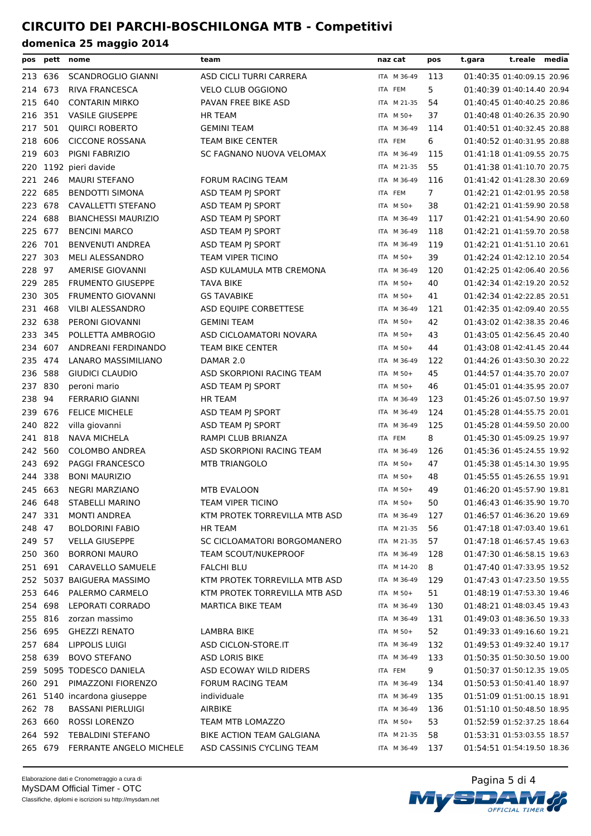| pos     | pett    | nome                        | team                          | naz cat     | pos            | t.gara | t.reale media              |  |
|---------|---------|-----------------------------|-------------------------------|-------------|----------------|--------|----------------------------|--|
|         | 213 636 | <b>SCANDROGLIO GIANNI</b>   | ASD CICLI TURRI CARRERA       | ITA M 36-49 | 113            |        | 01:40:35 01:40:09.15 20.96 |  |
| 214     | 673     | RIVA FRANCESCA              | <b>VELO CLUB OGGIONO</b>      | ITA FEM     | 5              |        | 01:40:39 01:40:14.40 20.94 |  |
| 215     | 640     | <b>CONTARIN MIRKO</b>       | PAVAN FREE BIKE ASD           | ITA M 21-35 | 54             |        | 01:40:45 01:40:40.25 20.86 |  |
| 216     | 351     | <b>VASILE GIUSEPPE</b>      | <b>HR TEAM</b>                | ITA M 50+   | 37             |        | 01:40:48 01:40:26.35 20.90 |  |
| 217     | 501     | <b>QUIRCI ROBERTO</b>       | <b>GEMINI TEAM</b>            | ITA M 36-49 | 114            |        | 01:40:51 01:40:32.45 20.88 |  |
| 218     | 606     | <b>CICCONE ROSSANA</b>      | <b>TEAM BIKE CENTER</b>       | ITA FEM     | 6              |        | 01:40:52 01:40:31.95 20.88 |  |
| 219     | 603     | PIGNI FABRIZIO              | SC FAGNANO NUOVA VELOMAX      | ITA M 36-49 | 115            |        | 01:41:18 01:41:09.55 20.75 |  |
| 220     |         | 1192 pieri davide           |                               | ITA M 21-35 | 55             |        | 01:41:38 01:41:10.70 20.75 |  |
| 221     | 246     | <b>MAURI STEFANO</b>        | <b>FORUM RACING TEAM</b>      | ITA M 36-49 | 116            |        | 01:41:42 01:41:28.30 20.69 |  |
| 222 685 |         | <b>BENDOTTI SIMONA</b>      | ASD TEAM PJ SPORT             | ITA FEM     | $\overline{7}$ |        | 01:42:21 01:42:01.95 20.58 |  |
| 223     | 678     | CAVALLETTI STEFANO          | ASD TEAM PJ SPORT             | ITA M 50+   | 38             |        | 01:42:21 01:41:59.90 20.58 |  |
| 224     | 688     | <b>BIANCHESSI MAURIZIO</b>  | ASD TEAM PJ SPORT             | ITA M 36-49 | 117            |        | 01:42:21 01:41:54.90 20.60 |  |
| 225 677 |         | <b>BENCINI MARCO</b>        | ASD TEAM PJ SPORT             | ITA M 36-49 | 118            |        | 01:42:21 01:41:59.70 20.58 |  |
| 226     | 701     | <b>BENVENUTI ANDREA</b>     | ASD TEAM PJ SPORT             | ITA M 36-49 | 119            |        | 01:42:21 01:41:51.10 20.61 |  |
| 227     | 303     | <b>MELI ALESSANDRO</b>      | TEAM VIPER TICINO             | ITA M 50+   | 39             |        | 01:42:24 01:42:12.10 20.54 |  |
| 228     | 97      | <b>AMERISE GIOVANNI</b>     | ASD KULAMULA MTB CREMONA      | ITA M 36-49 | 120            |        | 01:42:25 01:42:06.40 20.56 |  |
| 229     | 285     | <b>FRUMENTO GIUSEPPE</b>    | TAVA BIKE                     | ITA M 50+   | 40             |        | 01:42:34 01:42:19.20 20.52 |  |
| 230     | 305     | <b>FRUMENTO GIOVANNI</b>    | <b>GS TAVABIKE</b>            | ITA M 50+   | 41             |        | 01:42:34 01:42:22.85 20.51 |  |
| 231     | 468     | VILBI ALESSANDRO            | ASD EQUIPE CORBETTESE         | ITA M 36-49 | 121            |        | 01:42:35 01:42:09.40 20.55 |  |
| 232 638 |         | PERONI GIOVANNI             | <b>GEMINI TEAM</b>            | ITA M 50+   | 42             |        | 01:43:02 01:42:38.35 20.46 |  |
| 233     | 345     |                             |                               | ITA M 50+   | 43             |        | 01:43:05 01:42:56.45 20.40 |  |
|         | 607     | POLLETTA AMBROGIO           | ASD CICLOAMATORI NOVARA       | ITA M 50+   |                |        |                            |  |
| 234     |         | ANDREANI FERDINANDO         | TEAM BIKE CENTER              |             | 44             |        | 01:43:08 01:42:41.45 20.44 |  |
| 235 474 |         | LANARO MASSIMILIANO         | DAMAR 2.0                     | ITA M 36-49 | 122            |        | 01:44:26 01:43:50.30 20.22 |  |
| 236 588 |         | GIUDICI CLAUDIO             | ASD SKORPIONI RACING TEAM     | ITA M 50+   | 45             |        | 01:44:57 01:44:35.70 20.07 |  |
| 237 830 |         | peroni mario                | ASD TEAM PJ SPORT             | ITA M 50+   | 46             |        | 01:45:01 01:44:35.95 20.07 |  |
| 238     | 94      | <b>FERRARIO GIANNI</b>      | <b>HR TEAM</b>                | ITA M 36-49 | 123            |        | 01:45:26 01:45:07.50 19.97 |  |
| 239     | 676     | <b>FELICE MICHELE</b>       | ASD TEAM PJ SPORT             | ITA M 36-49 | 124            |        | 01:45:28 01:44:55.75 20.01 |  |
| 240     | 822     | villa giovanni              | ASD TEAM PJ SPORT             | ITA M 36-49 | 125            |        | 01:45:28 01:44:59.50 20.00 |  |
| 241 818 |         | <b>NAVA MICHELA</b>         | RAMPI CLUB BRIANZA            | ITA FEM     | 8              |        | 01:45:30 01:45:09.25 19.97 |  |
| 242     | 560     | <b>COLOMBO ANDREA</b>       | ASD SKORPIONI RACING TEAM     | ITA M 36-49 | 126            |        | 01:45:36 01:45:24.55 19.92 |  |
| 243     | 692     | <b>PAGGI FRANCESCO</b>      | <b>MTB TRIANGOLO</b>          | ITA M 50+   | 47             |        | 01:45:38 01:45:14.30 19.95 |  |
| 244     | 338     | <b>BONI MAURIZIO</b>        |                               | ITA M 50+   | 48             |        | 01:45:55 01:45:26.55 19.91 |  |
| 245 663 |         | <b>NEGRI MARZIANO</b>       | MTB EVALOON                   | ITA M 50+   | 49             |        | 01:46:20 01:45:57.90 19.81 |  |
|         | 246 648 | STABELLI MARINO             | TEAM VIPER TICINO             | ITA M 50+   | 50             |        | 01:46:43 01:46:35.90 19.70 |  |
|         | 247 331 | <b>MONTI ANDREA</b>         | KTM PROTEK TORREVILLA MTB ASD | ITA M 36-49 | 127            |        | 01:46:57 01:46:36.20 19.69 |  |
| 248 47  |         | <b>BOLDORINI FABIO</b>      | HR TEAM                       | ITA M 21-35 | 56             |        | 01:47:18 01:47:03.40 19.61 |  |
| 249 57  |         | <b>VELLA GIUSEPPE</b>       | SC CICLOAMATORI BORGOMANERO   | ITA M 21-35 | 57             |        | 01:47:18 01:46:57.45 19.63 |  |
| 250 360 |         | <b>BORRONI MAURO</b>        | TEAM SCOUT/NUKEPROOF          | ITA M 36-49 | 128            |        | 01:47:30 01:46:58.15 19.63 |  |
| 251 691 |         | CARAVELLO SAMUELE           | <b>FALCHI BLU</b>             | ITA M 14-20 | 8              |        | 01:47:40 01:47:33.95 19.52 |  |
|         |         | 252 5037 BAIGUERA MASSIMO   | KTM PROTEK TORREVILLA MTB ASD | ITA M 36-49 | 129            |        | 01:47:43 01:47:23.50 19.55 |  |
| 253 646 |         | PALERMO CARMELO             | KTM PROTEK TORREVILLA MTB ASD | ITA M 50+   | 51             |        | 01:48:19 01:47:53.30 19.46 |  |
| 254 698 |         | LEPORATI CORRADO            | MARTICA BIKE TEAM             | ITA M 36-49 | 130            |        | 01:48:21 01:48:03.45 19.43 |  |
| 255 816 |         | zorzan massimo              |                               | ITA M 36-49 | 131            |        | 01:49:03 01:48:36.50 19.33 |  |
| 256 695 |         | <b>GHEZZI RENATO</b>        | <b>LAMBRA BIKE</b>            | ITA M 50+   | 52             |        | 01:49:33 01:49:16.60 19.21 |  |
| 257 684 |         | LIPPOLIS LUIGI              | ASD CICLON-STORE.IT           | ITA M 36-49 | 132            |        | 01:49:53 01:49:32.40 19.17 |  |
| 258 639 |         | <b>BOVO STEFANO</b>         | <b>ASD LORIS BIKE</b>         | ITA M 36-49 | 133            |        | 01:50:35 01:50:30.50 19.00 |  |
|         |         | 259 5095 TODESCO DANIELA    | ASD ECOWAY WILD RIDERS        | ITA FEM     | 9              |        | 01:50:37 01:50:12.35 19.05 |  |
| 260 291 |         | PIMAZZONI FIORENZO          | <b>FORUM RACING TEAM</b>      | ITA M 36-49 | 134            |        | 01:50:53 01:50:41.40 18.97 |  |
|         |         | 261 5140 incardona giuseppe | individuale                   | ITA M 36-49 | 135            |        | 01:51:09 01:51:00.15 18.91 |  |
| 262 78  |         | <b>BASSANI PIERLUIGI</b>    | AIRBIKE                       | ITA M 36-49 | 136            |        | 01:51:10 01:50:48.50 18.95 |  |
| 263 660 |         | <b>ROSSI LORENZO</b>        | TEAM MTB LOMAZZO              | ITA M 50+   | 53             |        | 01:52:59 01:52:37.25 18.64 |  |
| 264 592 |         | <b>TEBALDINI STEFANO</b>    | BIKE ACTION TEAM GALGIANA     | ITA M 21-35 | 58             |        | 01:53:31 01:53:03.55 18.57 |  |
|         | 265 679 | FERRANTE ANGELO MICHELE     | ASD CASSINIS CYCLING TEAM     | ITA M 36-49 | 137            |        | 01:54:51 01:54:19.50 18.36 |  |
|         |         |                             |                               |             |                |        |                            |  |

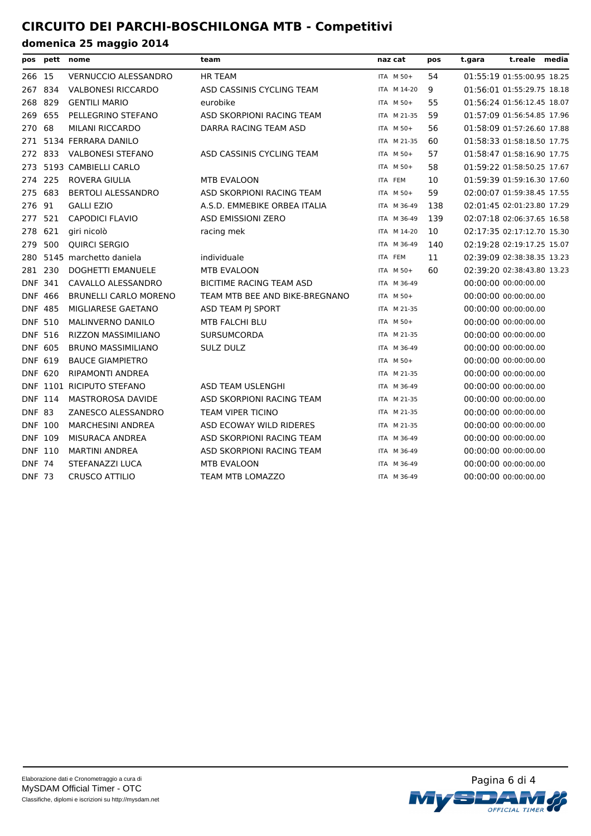| pos            |     | pett nome                    | team                            | naz cat     | pos | t.gara | t.reale media              |  |
|----------------|-----|------------------------------|---------------------------------|-------------|-----|--------|----------------------------|--|
| 266 15         |     | VERNUCCIO ALESSANDRO         | <b>HR TEAM</b>                  | ITA M 50+   | 54  |        | 01:55:19 01:55:00.95 18.25 |  |
| 267            | 834 | <b>VALBONESI RICCARDO</b>    | ASD CASSINIS CYCLING TEAM       | ITA M 14-20 | 9   |        | 01:56:01 01:55:29.75 18.18 |  |
| 268            | 829 | <b>GENTILI MARIO</b>         | eurobike                        | ITA M 50+   | 55  |        | 01:56:24 01:56:12.45 18.07 |  |
| 269            | 655 | PELLEGRINO STEFANO           | ASD SKORPIONI RACING TEAM       | ITA M 21-35 | 59  |        | 01:57:09 01:56:54.85 17.96 |  |
| 270            | 68  | <b>MILANI RICCARDO</b>       | DARRA RACING TEAM ASD           | ITA M 50+   | 56  |        | 01:58:09 01:57:26.60 17.88 |  |
| 271            |     | 5134 FERRARA DANILO          |                                 | ITA M 21-35 | 60  |        | 01:58:33 01:58:18.50 17.75 |  |
| 272            | 833 | <b>VALBONESI STEFANO</b>     | ASD CASSINIS CYCLING TEAM       | ITA M 50+   | 57  |        | 01:58:47 01:58:16.90 17.75 |  |
| 273            |     | 5193 CAMBIELLI CARLO         |                                 | ITA M 50+   | 58  |        | 01:59:22 01:58:50.25 17.67 |  |
| 274            | 225 | <b>ROVERA GIULIA</b>         | <b>MTB EVALOON</b>              | ITA FEM     | 10  |        | 01:59:39 01:59:16.30 17.60 |  |
| 275            | 683 | <b>BERTOLI ALESSANDRO</b>    | ASD SKORPIONI RACING TEAM       | ITA M 50+   | 59  |        | 02:00:07 01:59:38.45 17.55 |  |
| 276            | 91  | <b>GALLI EZIO</b>            | A.S.D. EMMEBIKE ORBEA ITALIA    | ITA M 36-49 | 138 |        | 02:01:45 02:01:23.80 17.29 |  |
| 277            | 521 | <b>CAPODICI FLAVIO</b>       | <b>ASD EMISSIONI ZERO</b>       | ITA M 36-49 | 139 |        | 02:07:18 02:06:37.65 16.58 |  |
| 278            | 621 | giri nicolò                  | racing mek                      | ITA M 14-20 | 10  |        | 02:17:35 02:17:12.70 15.30 |  |
| 279            | 500 | QUIRCI SERGIO                |                                 | ITA M 36-49 | 140 |        | 02:19:28 02:19:17.25 15.07 |  |
| 280            |     | 5145 marchetto daniela       | individuale                     | ITA FEM     | 11  |        | 02:39:09 02:38:38.35 13.23 |  |
| 281 230        |     | <b>DOGHETTI EMANUELE</b>     | <b>MTB EVALOON</b>              | ITA M 50+   | 60  |        | 02:39:20 02:38:43.80 13.23 |  |
| <b>DNF 341</b> |     | CAVALLO ALESSANDRO           | <b>BICITIME RACING TEAM ASD</b> | ITA M 36-49 |     |        | 00:00:00 00:00:00.00       |  |
| <b>DNF</b>     | 466 | <b>BRUNELLI CARLO MORENO</b> | TEAM MTB BEE AND BIKE-BREGNANO  | ITA M 50+   |     |        | 00:00:00 00:00:00.00       |  |
| <b>DNF 485</b> |     | MIGLIARESE GAETANO           | ASD TEAM PJ SPORT               | ITA M 21-35 |     |        | 00:00:00 00:00:00.00       |  |
| <b>DNF 510</b> |     | <b>MALINVERNO DANILO</b>     | <b>MTB FALCHI BLU</b>           | ITA M 50+   |     |        | 00:00:00 00:00:00.00       |  |
| <b>DNF 516</b> |     | <b>RIZZON MASSIMILIANO</b>   | <b>SURSUMCORDA</b>              | ITA M 21-35 |     |        | 00:00:00 00:00:00.00       |  |
| DNF 605        |     | <b>BRUNO MASSIMILIANO</b>    | <b>SULZ DULZ</b>                | ITA M 36-49 |     |        | 00:00:00 00:00:00.00       |  |
| DNF 619        |     | <b>BAUCE GIAMPIETRO</b>      |                                 | ITA M 50+   |     |        | 00:00:00 00:00:00.00       |  |
| <b>DNF 620</b> |     | RIPAMONTI ANDREA             |                                 | ITA M 21-35 |     |        | 00:00:00 00:00:00.00       |  |
|                |     | DNF 1101 RICIPUTO STEFANO    | <b>ASD TEAM USLENGHI</b>        | ITA M 36-49 |     |        | 00:00:00 00:00:00.00       |  |
| <b>DNF 114</b> |     | <b>MASTROROSA DAVIDE</b>     | ASD SKORPIONI RACING TEAM       | ITA M 21-35 |     |        | 00:00:00 00:00:00.00       |  |
| <b>DNF 83</b>  |     | ZANESCO ALESSANDRO           | <b>TEAM VIPER TICINO</b>        | ITA M 21-35 |     |        | 00:00:00 00:00:00.00       |  |
| <b>DNF 100</b> |     | <b>MARCHESINI ANDREA</b>     | ASD ECOWAY WILD RIDERES         | ITA M 21-35 |     |        | 00:00:00 00:00:00.00       |  |
| <b>DNF 109</b> |     | MISURACA ANDREA              | ASD SKORPIONI RACING TEAM       | ITA M 36-49 |     |        | 00:00:00 00:00:00.00       |  |
| DNF 110        |     | <b>MARTINI ANDREA</b>        | ASD SKORPIONI RACING TEAM       | ITA M 36-49 |     |        | 00:00:00 00:00:00.00       |  |
| <b>DNF 74</b>  |     | STEFANAZZI LUCA              | <b>MTB EVALOON</b>              | ITA M 36-49 |     |        | 00:00:00 00:00:00.00       |  |
| <b>DNF 73</b>  |     | <b>CRUSCO ATTILIO</b>        | <b>TEAM MTB LOMAZZO</b>         | ITA M 36-49 |     |        | 00:00:00 00:00:00.00       |  |

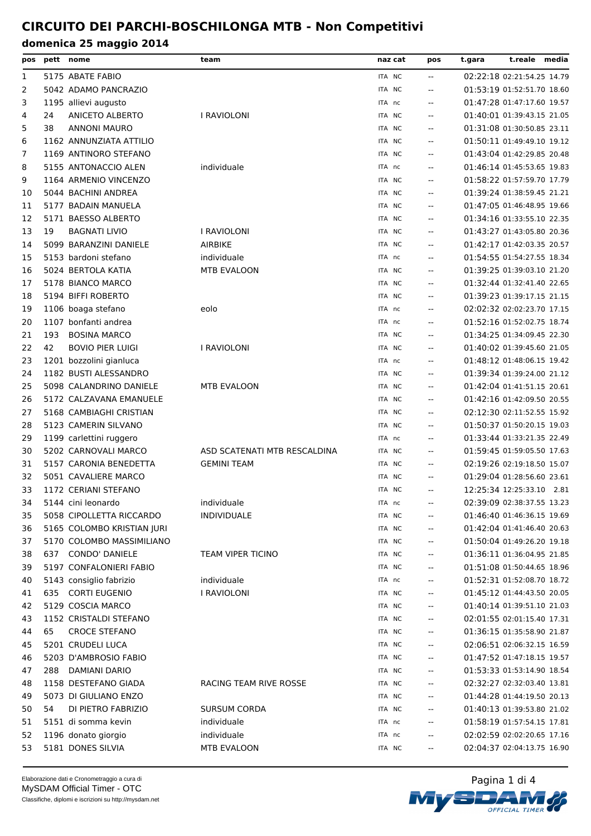| pos | pett nome |                            | team                         | naz cat | pos                                           | t.gara | t.reale media              |  |
|-----|-----------|----------------------------|------------------------------|---------|-----------------------------------------------|--------|----------------------------|--|
| 1   |           | 5175 ABATE FABIO           |                              | ITA NC  | $\mathord{\hspace{1pt}\text{--}\hspace{1pt}}$ |        | 02:22:18 02:21:54.25 14.79 |  |
| 2   |           | 5042 ADAMO PANCRAZIO       |                              | ITA NC  | $\sim$ $\sim$                                 |        | 01:53:19 01:52:51.70 18.60 |  |
| 3   |           | 1195 allievi augusto       |                              | ITA nc  | $\overline{a}$                                |        | 01:47:28 01:47:17.60 19.57 |  |
| 4   | 24        | <b>ANICETO ALBERTO</b>     | I RAVIOLONI                  | ITA NC  | $- -$                                         |        | 01:40:01 01:39:43.15 21.05 |  |
| 5   | 38        | <b>ANNONI MAURO</b>        |                              | ITA NC  | $-$                                           |        | 01:31:08 01:30:50.85 23.11 |  |
| 6   |           | 1162 ANNUNZIATA ATTILIO    |                              | ITA NC  | $-$                                           |        | 01:50:11 01:49:49.10 19.12 |  |
| 7   |           | 1169 ANTINORO STEFANO      |                              | ITA NC  | $- -$                                         |        | 01:43:04 01:42:29.85 20.48 |  |
| 8   |           | 5155 ANTONACCIO ALEN       | individuale                  | ITA nc  | $\sim$ $\sim$                                 |        | 01:46:14 01:45:53.65 19.83 |  |
| 9   |           | 1164 ARMENIO VINCENZO      |                              | ITA NC  | $-$                                           |        | 01:58:22 01:57:59.70 17.79 |  |
| 10  |           | 5044 BACHINI ANDREA        |                              | ITA NC  | $- -$                                         |        | 01:39:24 01:38:59.45 21.21 |  |
| 11  |           | 5177 BADAIN MANUELA        |                              | ITA NC  | $-$                                           |        | 01:47:05 01:46:48.95 19.66 |  |
| 12  |           | 5171 BAESSO ALBERTO        |                              | ITA NC  | $\overline{\phantom{a}}$                      |        | 01:34:16 01:33:55.10 22.35 |  |
| 13  | 19        | <b>BAGNATI LIVIO</b>       | I RAVIOLONI                  | ITA NC  | $- -$                                         |        | 01:43:27 01:43:05.80 20.36 |  |
| 14  |           | 5099 BARANZINI DANIELE     | <b>AIRBIKE</b>               | ITA NC  | $\sim$ $\sim$                                 |        | 01:42:17 01:42:03.35 20.57 |  |
| 15  |           | 5153 bardoni stefano       | individuale                  | ITA nc  | $\mathbf{u}$                                  |        | 01:54:55 01:54:27.55 18.34 |  |
| 16  |           | 5024 BERTOLA KATIA         | MTB EVALOON                  | ITA NC  | $- -$                                         |        | 01:39:25 01:39:03.10 21.20 |  |
| 17  |           | 5178 BIANCO MARCO          |                              | ITA NC  | $-$                                           |        | 01:32:44 01:32:41.40 22.65 |  |
| 18  |           | 5194 BIFFI ROBERTO         |                              | ITA NC  | $\mathbf{u}$                                  |        | 01:39:23 01:39:17.15 21.15 |  |
| 19  |           | 1106 boaga stefano         | eolo                         | ITA nc  | $-$                                           |        | 02:02:32 02:02:23.70 17.15 |  |
| 20  |           | 1107 bonfanti andrea       |                              | ITA nc  | $-$                                           |        | 01:52:16 01:52:02.75 18.74 |  |
| 21  | 193       | <b>BOSINA MARCO</b>        |                              | ITA NC  | $\mathbf{u}$                                  |        | 01:34:25 01:34:09.45 22.30 |  |
| 22  | 42        | <b>BOVIO PIER LUIGI</b>    | I RAVIOLONI                  | ITA NC  | $-$                                           |        | 01:40:02 01:39:45.60 21.05 |  |
| 23  |           | 1201 bozzolini gianluca    |                              | ITA nc  | $\overline{\phantom{a}}$                      |        | 01:48:12 01:48:06.15 19.42 |  |
| 24  |           | 1182 BUSTI ALESSANDRO      |                              | ITA NC  | $\mathbf{u}$                                  |        | 01:39:34 01:39:24.00 21.12 |  |
| 25  |           | 5098 CALANDRINO DANIELE    | MTB EVALOON                  | ITA NC  | $-$                                           |        | 01:42:04 01:41:51.15 20.61 |  |
| 26  |           | 5172 CALZAVANA EMANUELE    |                              | ITA NC  | $\sim$ $\sim$                                 |        | 01:42:16 01:42:09.50 20.55 |  |
| 27  |           | 5168 CAMBIAGHI CRISTIAN    |                              | ITA NC  | $\mathbf{u}$                                  |        | 02:12:30 02:11:52.55 15.92 |  |
| 28  |           | 5123 CAMERIN SILVANO       |                              | ITA NC  | $\mathbf{u}$                                  |        | 01:50:37 01:50:20.15 19.03 |  |
| 29  |           | 1199 carlettini ruggero    |                              | ITA nc  | $\sim$ $\sim$                                 |        | 01:33:44 01:33:21.35 22.49 |  |
| 30  |           | 5202 CARNOVALI MARCO       | ASD SCATENATI MTB RESCALDINA | ITA NC  | $\mathbf{u}$                                  |        | 01:59:45 01:59:05.50 17.63 |  |
| 31  |           | 5157 CARONIA BENEDETTA     | <b>GEMINI TEAM</b>           | ITA NC  | $\overline{\phantom{a}}$                      |        | 02:19:26 02:19:18.50 15.07 |  |
| 32  |           | 5051 CAVALIERE MARCO       |                              | ITA NC  | $-$                                           |        | 01:29:04 01:28:56.60 23.61 |  |
| 33  |           | 1172 CERIANI STEFANO       |                              | ITA NC  | $-$                                           |        | 12:25:34 12:25:33.10 2.81  |  |
| 34  |           | 5144 cini leonardo         | individuale                  | ITA nc  |                                               |        | 02:39:09 02:38:37.55 13.23 |  |
| 35  |           | 5058 CIPOLLETTA RICCARDO   | <b>INDIVIDUALE</b>           | ITA NC  |                                               |        | 01:46:40 01:46:36.15 19.69 |  |
| 36  |           | 5165 COLOMBO KRISTIAN JURI |                              | ITA NC  | $-$                                           |        | 01:42:04 01:41:46.40 20.63 |  |
| 37  |           | 5170 COLOMBO MASSIMILIANO  |                              | ITA NC  | $- -$                                         |        | 01:50:04 01:49:26.20 19.18 |  |
| 38  | 637       | CONDO' DANIELE             | TEAM VIPER TICINO            | ITA NC  | $\overline{\phantom{a}}$                      |        | 01:36:11 01:36:04.95 21.85 |  |
| 39  |           | 5197 CONFALONIERI FABIO    |                              | ITA NC  | $-$                                           |        | 01:51:08 01:50:44.65 18.96 |  |
| 40  |           | 5143 consiglio fabrizio    | individuale                  | ITA nc  | $\overline{\phantom{a}}$                      |        | 01:52:31 01:52:08.70 18.72 |  |
| 41  | 635       | <b>CORTI EUGENIO</b>       | I RAVIOLONI                  | ITA NC  | $\overline{\phantom{a}}$                      |        | 01:45:12 01:44:43.50 20.05 |  |
| 42  |           | 5129 COSCIA MARCO          |                              | ITA NC  | $\overline{\phantom{a}}$                      |        | 01:40:14 01:39:51.10 21.03 |  |
| 43  |           | 1152 CRISTALDI STEFANO     |                              | ITA NC  | $\overline{\phantom{a}}$                      |        | 02:01:55 02:01:15.40 17.31 |  |
| 44  | 65        | <b>CROCE STEFANO</b>       |                              | ITA NC  | $\overline{\phantom{a}}$                      |        | 01:36:15 01:35:58.90 21.87 |  |
| 45  |           | 5201 CRUDELI LUCA          |                              | ITA NC  | $-$                                           |        | 02:06:51 02:06:32.15 16.59 |  |
| 46  |           | 5203 D'AMBROSIO FABIO      |                              | ITA NC  | $\overline{\phantom{a}}$                      |        | 01:47:52 01:47:18.15 19.57 |  |
| 47  | 288       | DAMIANI DARIO              |                              | ITA NC  | $\overline{\phantom{a}}$                      |        | 01:53:33 01:53:14.90 18.54 |  |
| 48  |           | 1158 DESTEFANO GIADA       | RACING TEAM RIVE ROSSE       | ITA NC  | $\overline{\phantom{a}}$                      |        | 02:32:27 02:32:03.40 13.81 |  |
| 49  |           | 5073 DI GIULIANO ENZO      |                              | ITA NC  | $\overline{\phantom{a}}$                      |        | 01:44:28 01:44:19.50 20.13 |  |
| 50  | 54        | DI PIETRO FABRIZIO         | <b>SURSUM CORDA</b>          | ITA NC  | $\overline{\phantom{a}}$                      |        | 01:40:13 01:39:53.80 21.02 |  |
| 51  |           | 5151 di somma kevin        | individuale                  | ITA nc  | $\overline{\phantom{a}}$                      |        | 01:58:19 01:57:54.15 17.81 |  |
| 52  |           | 1196 donato giorgio        | individuale                  | ITA nc  | $\overline{\phantom{a}}$                      |        | 02:02:59 02:02:20.65 17.16 |  |
| 53  |           | 5181 DONES SILVIA          | MTB EVALOON                  | ITA NC  | $\mathcal{L} = \mathcal{L}$                   |        | 02:04:37 02:04:13.75 16.90 |  |
|     |           |                            |                              |         |                                               |        |                            |  |

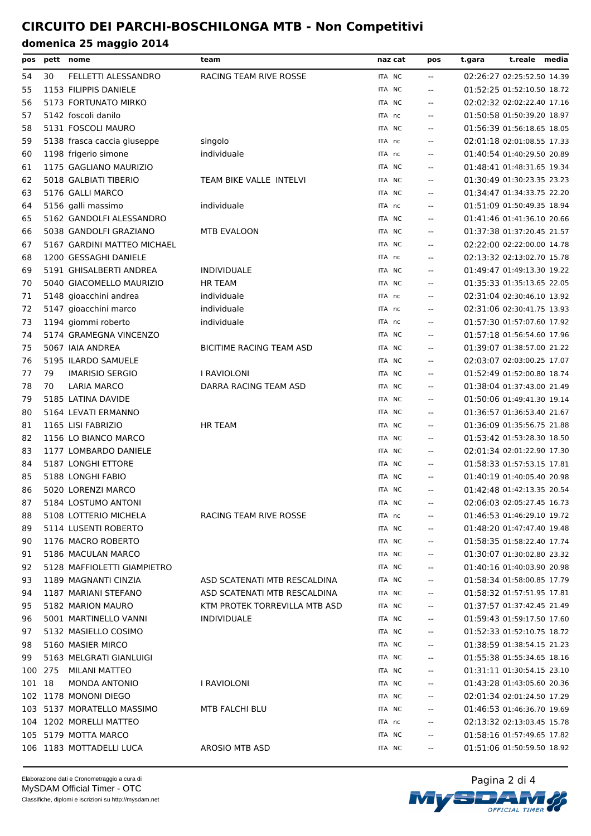| pos      |         | pett nome                                 | team                          | naz cat | pos                                           | t.gara | t.reale media              |  |
|----------|---------|-------------------------------------------|-------------------------------|---------|-----------------------------------------------|--------|----------------------------|--|
| 54       | 30      | FELLETTI ALESSANDRO                       | RACING TEAM RIVE ROSSE        | ITA NC  | $\mathord{\hspace{1pt}\text{--}\hspace{1pt}}$ |        | 02:26:27 02:25:52.50 14.39 |  |
| 55       |         | 1153 FILIPPIS DANIELE                     |                               | ITA NC  | $- -$                                         |        | 01:52:25 01:52:10.50 18.72 |  |
| 56       |         | 5173 FORTUNATO MIRKO                      |                               | ITA NC  | $\overline{\phantom{a}}$                      |        | 02:02:32 02:02:22.40 17.16 |  |
| 57       |         | 5142 foscoli danilo                       |                               | ITA nc  | $-$                                           |        | 01:50:58 01:50:39.20 18.97 |  |
| 58       |         | 5131 FOSCOLI MAURO                        |                               | ITA NC  | $- -$                                         |        | 01:56:39 01:56:18.65 18.05 |  |
| 59       |         | 5138 frasca caccia giuseppe               | singolo                       | ITA nc  | $\overline{\phantom{a}}$                      |        | 02:01:18 02:01:08.55 17.33 |  |
| 60       |         | 1198 frigerio simone                      | individuale                   | ITA nc  | $\mathbf{u}$                                  |        | 01:40:54 01:40:29.50 20.89 |  |
| 61       |         | 1175 GAGLIANO MAURIZIO                    |                               | ITA NC  | $- -$                                         |        | 01:48:41 01:48:31.65 19.34 |  |
| 62       |         | 5018 GALBIATI TIBERIO                     | TEAM BIKE VALLE INTELVI       | ITA NC  | $\overline{\phantom{a}}$                      |        | 01:30:49 01:30:23.35 23.23 |  |
| 63       |         | 5176 GALLI MARCO                          |                               | ITA NC  | $\overline{\phantom{a}}$                      |        | 01:34:47 01:34:33.75 22.20 |  |
| 64       |         | 5156 galli massimo                        | individuale                   | ITA nc  | $- -$                                         |        | 01:51:09 01:50:49.35 18.94 |  |
| 65       |         | 5162 GANDOLFI ALESSANDRO                  |                               | ITA NC  | $\sim$ $\sim$                                 |        | 01:41:46 01:41:36.10 20.66 |  |
| 66       |         | 5038 GANDOLFI GRAZIANO                    | MTB EVALOON                   | ITA NC  | $\mathbf{u}$                                  |        | 01:37:38 01:37:20.45 21.57 |  |
| 67       |         | 5167 GARDINI MATTEO MICHAEL               |                               | ITA NC  | $- -$                                         |        | 02:22:00 02:22:00.00 14.78 |  |
| 68       |         | 1200 GESSAGHI DANIELE                     |                               | ITA nc  | $\sim$ $\sim$                                 |        | 02:13:32 02:13:02.70 15.78 |  |
| 69       |         | 5191 GHISALBERTI ANDREA                   | <b>INDIVIDUALE</b>            | ITA NC  | $\mathbf{u}$                                  |        | 01:49:47 01:49:13.30 19.22 |  |
| 70       |         | 5040 GIACOMELLO MAURIZIO                  | HR TEAM                       | ITA NC  | $- -$                                         |        | 01:35:33 01:35:13.65 22.05 |  |
| 71       |         | 5148 gioacchini andrea                    | individuale                   | ITA nc  | $\mathbf{u}$                                  |        | 02:31:04 02:30:46.10 13.92 |  |
| 72       |         | 5147 gioacchini marco                     | individuale                   | ITA nc  | $\mathbf{u}$                                  |        | 02:31:06 02:30:41.75 13.93 |  |
| 73       |         | 1194 giommi roberto                       | individuale                   | ITA nc  | $\mathcal{L}_{\mathcal{F}}$                   |        | 01:57:30 01:57:07.60 17.92 |  |
| 74       |         | 5174 GRAMEGNA VINCENZO                    |                               | ITA NC  | $\sim$ $\sim$                                 |        | 01:57:18 01:56:54.60 17.96 |  |
| 75       |         | 5067 IAIA ANDREA                          | BICITIME RACING TEAM ASD      | ITA NC  | $\mathbf{u}$                                  |        | 01:39:07 01:38:57.00 21.22 |  |
| 76       |         | 5195 ILARDO SAMUELE                       |                               | ITA NC  | $-$                                           |        | 02:03:07 02:03:00.25 17.07 |  |
| 77       | 79      | <b>IMARISIO SERGIO</b>                    | I RAVIOLONI                   | ITA NC  | $\sim$ $\sim$                                 |        | 01:52:49 01:52:00.80 18.74 |  |
| 78       | 70      | LARIA MARCO                               | DARRA RACING TEAM ASD         | ITA NC  | $\mathbf{u}$                                  |        | 01:38:04 01:37:43.00 21.49 |  |
| 79       |         | 5185 LATINA DAVIDE                        |                               | ITA NC  | $\overline{\phantom{a}}$                      |        | 01:50:06 01:49:41.30 19.14 |  |
| 80       |         | 5164 LEVATI ERMANNO                       |                               | ITA NC  | $\sim$ $\sim$                                 |        | 01:36:57 01:36:53.40 21.67 |  |
| 81       |         | 1165 LISI FABRIZIO                        | HR TEAM                       | ITA NC  | $- -$                                         |        | 01:36:09 01:35:56.75 21.88 |  |
| 82       |         | 1156 LO BIANCO MARCO                      |                               | ITA NC  | $\sim$ $\sim$                                 |        | 01:53:42 01:53:28.30 18.50 |  |
| 83       |         | 1177 LOMBARDO DANIELE                     |                               | ITA NC  | $\mathbf{u}$                                  |        | 02:01:34 02:01:22.90 17.30 |  |
|          |         | 5187 LONGHI ETTORE                        |                               | ITA NC  | $\overline{\phantom{a}}$                      |        | 01:58:33 01:57:53.15 17.81 |  |
| 84<br>85 |         | 5188 LONGHI FABIO                         |                               | ITA NC  | $\overline{\phantom{a}}$                      |        | 01:40:19 01:40:05.40 20.98 |  |
|          |         |                                           |                               | ITA NC  | $\sim$ $\sim$                                 |        | 01:42:48 01:42:13.35 20.54 |  |
| 86<br>87 |         | 5020 LORENZI MARCO<br>5184 LOSTUMO ANTONI |                               |         |                                               |        | 02:06:03 02:05:27.45 16.73 |  |
|          |         |                                           |                               | ITA NC  | $\overline{\phantom{a}}$                      |        | 01:46:53 01:46:29.10 19.72 |  |
| 88       |         | 5108 LOTTERIO MICHELA                     | RACING TEAM RIVE ROSSE        | ITA nc  |                                               |        |                            |  |
| 89       |         | 5114 LUSENTI ROBERTO                      |                               | ITA NC  | $\overline{\phantom{m}}$                      |        | 01:48:20 01:47:47.40 19.48 |  |
| 90       |         | 1176 MACRO ROBERTO                        |                               | ITA NC  | $\overline{\phantom{a}}$                      |        | 01:58:35 01:58:22.40 17.74 |  |
| 91       |         | 5186 MACULAN MARCO                        |                               | ITA NC  |                                               |        | 01:30:07 01:30:02.80 23.32 |  |
| 92       |         | 5128 MAFFIOLETTI GIAMPIETRO               |                               | ITA NC  | $\sim$ $\sim$                                 |        | 01:40:16 01:40:03.90 20.98 |  |
| 93       |         | 1189 MAGNANTI CINZIA                      | ASD SCATENATI MTB RESCALDINA  | ITA NC  | $\mathbf{u}$                                  |        | 01:58:34 01:58:00.85 17.79 |  |
| 94       |         | 1187 MARIANI STEFANO                      | ASD SCATENATI MTB RESCALDINA  | ITA NC  |                                               |        | 01:58:32 01:57:51.95 17.81 |  |
| 95       |         | 5182 MARION MAURO                         | KTM PROTEK TORREVILLA MTB ASD | ITA NC  | $\overline{\phantom{m}}$                      |        | 01:37:57 01:37:42.45 21.49 |  |
| 96       |         | 5001 MARTINELLO VANNI                     | <b>INDIVIDUALE</b>            | ITA NC  | $\overline{\phantom{a}}$                      |        | 01:59:43 01:59:17.50 17.60 |  |
| 97       |         | 5132 MASIELLO COSIMO                      |                               | ITA NC  |                                               |        | 01:52:33 01:52:10.75 18.72 |  |
| 98       |         | 5160 MASIER MIRCO                         |                               | ITA NC  | $\overline{\phantom{m}}$                      |        | 01:38:59 01:38:54.15 21.23 |  |
| 99       |         | 5163 MELGRATI GIANLUIGI                   |                               | ITA NC  | $\mathbf{u}$                                  |        | 01:55:38 01:55:34.65 18.16 |  |
|          | 100 275 | <b>MILANI MATTEO</b>                      |                               | ITA NC  | --                                            |        | 01:31:11 01:30:54.15 23.10 |  |
| 101 18   |         | <b>MONDA ANTONIO</b>                      | I RAVIOLONI                   | ITA NC  | $\overline{\phantom{m}}$                      |        | 01:43:28 01:43:05.60 20.36 |  |
|          |         | 102 1178 MONONI DIEGO                     |                               | ITA NC  | $\mathbf{u}$                                  |        | 02:01:34 02:01:24.50 17.29 |  |
|          |         | 103 5137 MORATELLO MASSIMO                | MTB FALCHI BLU                | ITA NC  | $\overline{\phantom{m}}$                      |        | 01:46:53 01:46:36.70 19.69 |  |
|          |         | 104 1202 MORELLI MATTEO                   |                               | ITA nc  | $\overline{\phantom{m}}$                      |        | 02:13:32 02:13:03.45 15.78 |  |
|          |         | 105 5179 MOTTA MARCO                      |                               | ITA NC  | $\overline{\phantom{a}}$                      |        | 01:58:16 01:57:49.65 17.82 |  |
|          |         | 106 1183 MOTTADELLI LUCA                  | AROSIO MTB ASD                | ITA NC  | $\overline{\phantom{m}}$                      |        | 01:51:06 01:50:59.50 18.92 |  |

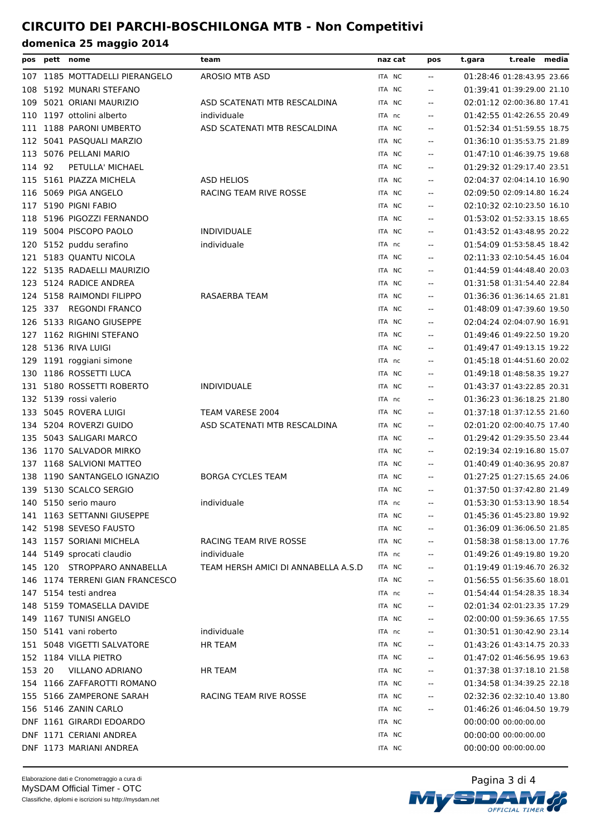|        | pos pett nome |                                 | team                                | naz cat       | pos                      | t.reale media<br>t.gara    |  |
|--------|---------------|---------------------------------|-------------------------------------|---------------|--------------------------|----------------------------|--|
| 107    |               | 1185 MOTTADELLI PIERANGELO      | AROSIO MTB ASD                      | ITA NC        | $- -$                    | 01:28:46 01:28:43.95 23.66 |  |
| 108    |               | 5192 MUNARI STEFANO             |                                     | ITA NC        | $\overline{a}$           | 01:39:41 01:39:29.00 21.10 |  |
| 109    |               | 5021 ORIANI MAURIZIO            | ASD SCATENATI MTB RESCALDINA        | ITA NC        | $-$                      | 02:01:12 02:00:36.80 17.41 |  |
| 110    |               | 1197 ottolini alberto           | individuale                         | ITA nc        | $\overline{a}$           | 01:42:55 01:42:26.55 20.49 |  |
| 111    |               | 1188 PARONI UMBERTO             | ASD SCATENATI MTB RESCALDINA        | ITA NC        |                          | 01:52:34 01:51:59.55 18.75 |  |
| 112    |               | 5041 PASQUALI MARZIO            |                                     | ITA NC        | $\sim$ $\sim$            | 01:36:10 01:35:53.75 21.89 |  |
| 113    |               | 5076 PELLANI MARIO              |                                     | ITA NC        | $- -$                    | 01:47:10 01:46:39.75 19.68 |  |
| 114 92 |               | PETULLA' MICHAEL                |                                     | ITA NC        |                          | 01:29:32 01:29:17.40 23.51 |  |
| 115    |               | 5161 PIAZZA MICHELA             | <b>ASD HELIOS</b>                   | ITA NC        | $\overline{\phantom{a}}$ | 02:04:37 02:04:14.10 16.90 |  |
| 116    |               | 5069 PIGA ANGELO                | RACING TEAM RIVE ROSSE              | ITA NC        | $\overline{a}$           | 02:09:50 02:09:14.80 16.24 |  |
| 117    |               | 5190 PIGNI FABIO                |                                     | ITA NC        | $- -$                    | 02:10:32 02:10:23.50 16.10 |  |
| 118    |               | 5196 PIGOZZI FERNANDO           |                                     | ITA NC        | $-$                      | 01:53:02 01:52:33.15 18.65 |  |
| 119    |               | 5004 PISCOPO PAOLO              | <b>INDIVIDUALE</b>                  | ITA NC        | $\overline{a}$           | 01:43:52 01:43:48.95 20.22 |  |
| 120    |               | 5152 puddu serafino             | individuale                         | ITA nc        | $\overline{a}$           | 01:54:09 01:53:58.45 18.42 |  |
| 121    |               | 5183 QUANTU NICOLA              |                                     | ITA NC        | $\sim$ $\sim$            | 02:11:33 02:10:54.45 16.04 |  |
| 122    |               | 5135 RADAELLI MAURIZIO          |                                     | ITA NC        | $\overline{a}$           | 01:44:59 01:44:48.40 20.03 |  |
| 123    |               | 5124 RADICE ANDREA              |                                     | ITA NC        |                          | 01:31:58 01:31:54.40 22.84 |  |
| 124    |               | 5158 RAIMONDI FILIPPO           | <b>RASAERBA TEAM</b>                | ITA NC        | $\sim$ $\sim$            | 01:36:36 01:36:14.65 21.81 |  |
| 125    |               | 337 REGONDI FRANCO              |                                     | ITA NC        | $- -$                    | 01:48:09 01:47:39.60 19.50 |  |
| 126    |               | 5133 RIGANO GIUSEPPE            |                                     | ITA NC        |                          | 02:04:24 02:04:07.90 16.91 |  |
| 127    |               | 1162 RIGHINI STEFANO            |                                     | ITA NC        | $\sim$ $\sim$            | 01:49:46 01:49:22.50 19.20 |  |
| 128    |               | 5136 RIVA LUIGI                 |                                     | ITA NC        | $\overline{a}$           | 01:49:47 01:49:13.15 19.22 |  |
| 129    |               | 1191 roggiani simone            |                                     | ITA nc        | $- -$                    | 01:45:18 01:44:51.60 20.02 |  |
|        |               | 130 1186 ROSSETTI LUCA          |                                     | ITA NC        | $-$                      | 01:49:18 01:48:58.35 19.27 |  |
| 131    |               | 5180 ROSSETTI ROBERTO           | <b>INDIVIDUALE</b>                  | ITA NC        | $\overline{a}$           | 01:43:37 01:43:22.85 20.31 |  |
|        |               | 132 5139 rossi valerio          |                                     | ITA nc        | $\overline{a}$           | 01:36:23 01:36:18.25 21.80 |  |
| 133    |               | 5045 ROVERA LUIGI               | TEAM VARESE 2004                    | ITA NC        | $\sim$ $\sim$            | 01:37:18 01:37:12.55 21.60 |  |
| 134    |               | 5204 ROVERZI GUIDO              | ASD SCATENATI MTB RESCALDINA        | <b>ITA NC</b> | $\overline{\phantom{a}}$ | 02:01:20 02:00:40.75 17.40 |  |
| 135    |               | 5043 SALIGARI MARCO             |                                     | ITA NC        | $\overline{a}$           | 01:29:42 01:29:35.50 23.44 |  |
|        |               | 136 1170 SALVADOR MIRKO         |                                     | ITA NC        | $\sim$ $\sim$            | 02:19:34 02:19:16.80 15.07 |  |
| 137    |               | 1168 SALVIONI MATTEO            |                                     | ITA NC        | $\overline{\phantom{a}}$ | 01:40:49 01:40:36.95 20.87 |  |
| 138    |               | 1190 SANTANGELO IGNAZIO         | <b>BORGA CYCLES TEAM</b>            | ITA NC        |                          | 01:27:25 01:27:15.65 24.06 |  |
|        |               | 139 5130 SCALCO SERGIO          |                                     | ITA NC        | $\overline{\phantom{a}}$ | 01:37:50 01:37:42.80 21.49 |  |
|        |               | 140 5150 serio mauro            | individuale                         | ITA nc        | $\overline{\phantom{m}}$ | 01:53:30 01:53:13.90 18.54 |  |
|        |               | 141 1163 SETTANNI GIUSEPPE      |                                     | ITA NC        |                          | 01:45:36 01:45:23.80 19.92 |  |
|        |               | 142 5198 SEVESO FAUSTO          |                                     | ITA NC        | $-$                      | 01:36:09 01:36:06.50 21.85 |  |
|        |               | 143 1157 SORIANI MICHELA        | RACING TEAM RIVE ROSSE              | ITA NC        |                          | 01:58:38 01:58:13.00 17.76 |  |
|        |               | 144 5149 sprocati claudio       | individuale                         | ITA nc        |                          | 01:49:26 01:49:19.80 19.20 |  |
|        |               | 145 120 STROPPARO ANNABELLA     | TEAM HERSH AMICI DI ANNABELLA A.S.D | ITA NC        | $\qquad \qquad -$        | 01:19:49 01:19:46.70 26.32 |  |
|        |               | 146 1174 TERRENI GIAN FRANCESCO |                                     | ITA NC        | $\overline{\phantom{m}}$ | 01:56:55 01:56:35.60 18.01 |  |
|        |               | 147 5154 testi andrea           |                                     | ITA nc        |                          | 01:54:44 01:54:28.35 18.34 |  |
|        |               | 148 5159 TOMASELLA DAVIDE       |                                     | ITA NC        | $\overline{\phantom{m}}$ | 02:01:34 02:01:23.35 17.29 |  |
|        |               | 149 1167 TUNISI ANGELO          |                                     | ITA NC        | $\qquad \qquad -$        | 02:00:00 01:59:36.65 17.55 |  |
|        |               | 150 5141 vani roberto           | individuale                         | ITA nc        |                          | 01:30:51 01:30:42.90 23.14 |  |
|        |               | 151 5048 VIGETTI SALVATORE      | <b>HR TEAM</b>                      | ITA NC        | $\qquad \qquad -$        | 01:43:26 01:43:14.75 20.33 |  |
|        |               | 152 1184 VILLA PIETRO           |                                     | ITA NC        | $\overline{\phantom{a}}$ | 01:47:02 01:46:56.95 19.63 |  |
| 153 20 |               | VILLANO ADRIANO                 | <b>HR TEAM</b>                      | ITA NC        |                          | 01:37:38 01:37:18.10 21.58 |  |
|        |               | 154 1166 ZAFFAROTTI ROMANO      |                                     | ITA NC        | $\sim$ $\sim$            | 01:34:58 01:34:39.25 22.18 |  |
|        |               | 155 5166 ZAMPERONE SARAH        | RACING TEAM RIVE ROSSE              | ITA NC        |                          | 02:32:36 02:32:10.40 13.80 |  |
|        |               | 156 5146 ZANIN CARLO            |                                     | ITA NC        | $\qquad \qquad -$        | 01:46:26 01:46:04.50 19.79 |  |
|        |               | DNF 1161 GIRARDI EDOARDO        |                                     | ITA NC        |                          | 00:00:00 00:00:00.00       |  |
|        |               | DNF 1171 CERIANI ANDREA         |                                     | ITA NC        |                          | 00:00:00 00:00:00.00       |  |
|        |               | DNF 1173 MARIANI ANDREA         |                                     | ITA NC        |                          | 00:00:00 00:00:00.00       |  |
|        |               |                                 |                                     |               |                          |                            |  |